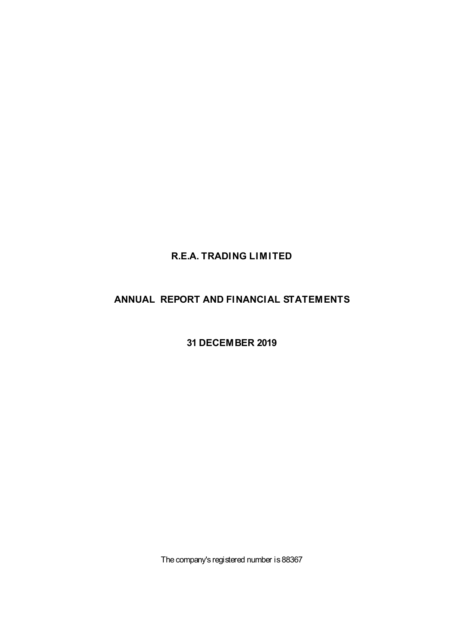# **R.E.A. TRADING LIMITED**

# **ANNUAL REPORT AND FINANCIAL STATEMENTS**

**31 DECEMBER 2019**

The company's registered number is 88367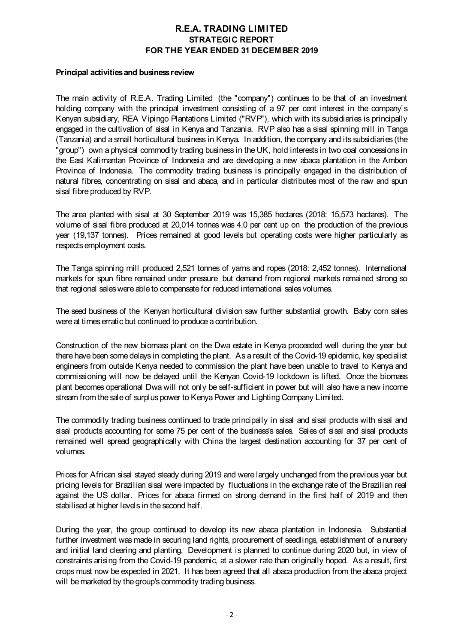#### **Principal activities and business review**

The main activity of R.E.A. Trading Limited (the "company") continues to be that of an investment holding company with the principal investment consisting of a 97 per cent interest in the company's Kenyan subsidiary, REA Vipingo Plantations Limited ("RVP"), which with its subsidiaries is principally engaged in the cultivation of sisal in Kenya and Tanzania. RVP also has a sisal spinning mill in Tanga (Tanzania) and a small horticultural business in Kenya. In addition, the company and its subsidiaries (the "group") own a physical commodity trading business in the UK, hold interests in two coal concessions in the East Kalimantan Province of Indonesia and are developing a new abaca plantation in the Ambon Province of Indonesia. The commodity trading business is principally engaged in the distribution of natural fibres, concentrating on sisal and abaca, and in particular distributes most of the raw and spun sisal fibre produced by RVP.

The area planted with sisal at 30 September 2019 was 15,385 hectares (2018: 15,573 hectares). The volume of sisal fibre produced at 20,014 tonnes was 4.0 per cent up on the production of the previous year (19,137 tonnes). Prices remained at good levels but operating costs were higher particularly as respects employment costs.

The Tanga spinning mill produced 2,521 tonnes of yarns and ropes (2018: 2,452 tonnes). International markets for spun fibre remained under pressure but demand from regional markets remained strong so that regional sales were able to compensate for reduced international sales volumes.

The seed business of the Kenyan horticultural division saw further substantial growth. Baby corn sales were at times erratic but continued to produce a contribution.

Construction of the new biomass plant on the Dwa estate in Kenya proceeded well during the year but there have been some delays in completing the plant. As a result of the Covid-19 epidemic, key specialist engineers from outside Kenya needed to commission the plant have been unable to travel to Kenya and commissioning will now be delayed until the Kenyan Covid-19 lockdown is lifted. Once the biomass plant becomes operational Dwa will not only be self-sufficient in power but will also have a new income stream from the sale of surplus power to Kenya Power and Lighting Company Limited.

The commodity trading business continued to trade principally in sisal and sisal products with sisal and sisal products accounting for some 75 per cent of the business's sales. Sales of sisal and sisal products remained well spread geographically with China the largest destination accounting for 37 per cent of volumes.

Prices for African sisal stayed steady during 2019 and were largely unchanged from the previous year but pricing levels for Brazilian sisal were impacted by fluctuations in the exchange rate of the Brazilian real against the US dollar. Prices for abaca firmed on strong demand in the first half of 2019 and then stabilised at higher levels in the second half.

During the year, the group continued to develop its new abaca plantation in Indonesia. Substantial further investment was made in securing land rights, procurement of seedlings, establishment of a nursery and initial land clearing and planting. Development is planned to continue during 2020 but, in view of constraints arising from the Covid-19 pandemic, at a slower rate than originally hoped. As a result, first crops must now be expected in 2021. It has been agreed that all abaca production from the abaca project will be marketed by the group's commodity trading business.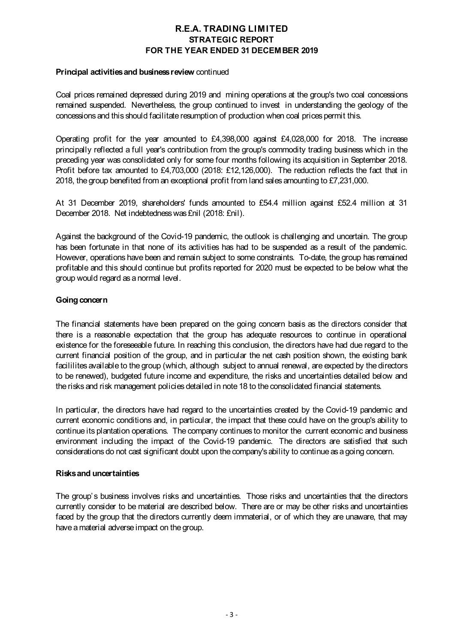### **Principal activities and business review** continued

Coal prices remained depressed during 2019 and mining operations at the group's two coal concessions remained suspended. Nevertheless, the group continued to invest in understanding the geology of the concessions and this should facilitate resumption of production when coal prices permit this.

Operating profit for the year amounted to £4,398,000 against £4,028,000 for 2018. The increase principally reflected a full year's contribution from the group's commodity trading business which in the preceding year was consolidated only for some four months following its acquisition in September 2018. Profit before tax amounted to £4,703,000 (2018: £12,126,000). The reduction reflects the fact that in 2018, the group benefited from an exceptional profit from land sales amounting to £7,231,000.

At 31 December 2019, shareholders' funds amounted to £54.4 million against £52.4 million at 31 December 2018. Net indebtedness was £nil (2018: £nil).

Against the background of the Covid-19 pandemic, the outlook is challenging and uncertain. The group has been fortunate in that none of its activities has had to be suspended as a result of the pandemic. However, operations have been and remain subject to some constraints. To-date, the group has remained profitable and this should continue but profits reported for 2020 must be expected to be below what the group would regard as a normal level.

### **Going concern**

The financial statements have been prepared on the going concern basis as the directors consider that there is a reasonable expectation that the group has adequate resources to continue in operational existence for the foreseeable future. In reaching this conclusion, the directors have had due regard to the current financial position of the group, and in particular the net cash position shown, the existing bank facililites available to the group (which, although subject to annual renewal, are expected by the directors to be renewed), budgeted future income and expenditure, the risks and uncertainties detailed below and the risks and risk management policies detailed in note 18 to the consolidated financial statements.

In particular, the directors have had regard to the uncertainties created by the Covid-19 pandemic and current economic conditions and, in particular, the impact that these could have on the group's ability to continue its plantation operations. The company continues to monitor the current economic and business environment including the impact of the Covid-19 pandemic. The directors are satisfied that such considerations do not cast significant doubt upon the company's ability to continue as a going concern.

#### **Risks and uncertainties**

The group's business involves risks and uncertainties. Those risks and uncertainties that the directors currently consider to be material are described below. There are or may be other risks and uncertainties faced by the group that the directors currently deem immaterial, or of which they are unaware, that may have a material adverse impact on the group.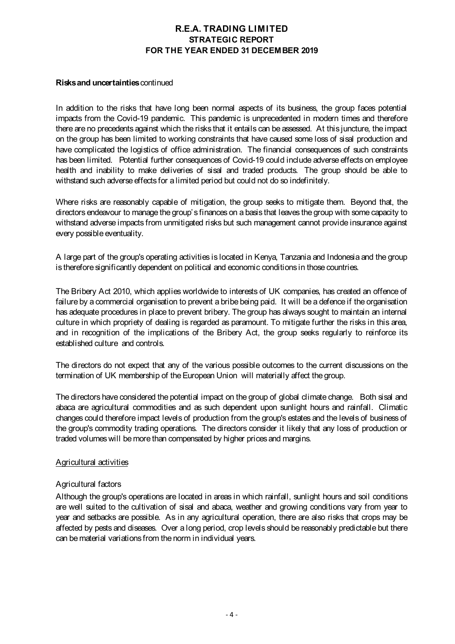### **Risks and uncertainties** continued

In addition to the risks that have long been normal aspects of its business, the group faces potential impacts from the Covid-19 pandemic. This pandemic is unprecedented in modern times and therefore there are no precedents against which the risks that it entails can be assessed. At this juncture, the impact on the group has been limited to working constraints that have caused some loss of sisal production and have complicated the logistics of office administration. The financial consequences of such constraints has been limited. Potential further consequences of Covid-19 could include adverse effects on employee health and inability to make deliveries of sisal and traded products. The group should be able to withstand such adverse effects for a limited period but could not do so indefinitely.

Where risks are reasonably capable of mitigation, the group seeks to mitigate them. Beyond that, the directors endeavour to manage the group's finances on a basis that leaves the group with some capacity to withstand adverse impacts from unmitigated risks but such management cannot provide insurance against every possible eventuality.

A large part of the group's operating activities is located in Kenya, Tanzania and Indonesia and the group is therefore significantly dependent on political and economic conditions in those countries.

The Bribery Act 2010, which applies worldwide to interests of UK companies, has created an offence of failure by a commercial organisation to prevent a bribe being paid. It will be a defence if the organisation has adequate procedures in place to prevent bribery. The group has always sought to maintain an internal culture in which propriety of dealing is regarded as paramount. To mitigate further the risks in this area, and in recognition of the implications of the Bribery Act, the group seeks regularly to reinforce its established culture and controls.

The directors do not expect that any of the various possible outcomes to the current discussions on the termination of UK membership of the European Union will materially affect the group.

The directors have considered the potential impact on the group of global climate change. Both sisal and abaca are agricultural commodities and as such dependent upon sunlight hours and rainfall. Climatic changes could therefore impact levels of production from the group's estates and the levels of business of the group's commodity trading operations. The directors consider it likely that any loss of production or traded volumes will be more than compensated by higher prices and margins.

### Agricultural activities

### Agricultural factors

Although the group's operations are located in areas in which rainfall, sunlight hours and soil conditions are well suited to the cultivation of sisal and abaca, weather and growing conditions vary from year to year and setbacks are possible. As in any agricultural operation, there are also risks that crops may be affected by pests and diseases. Over a long period, crop levels should be reasonably predictable but there can be material variations from the norm in individual years.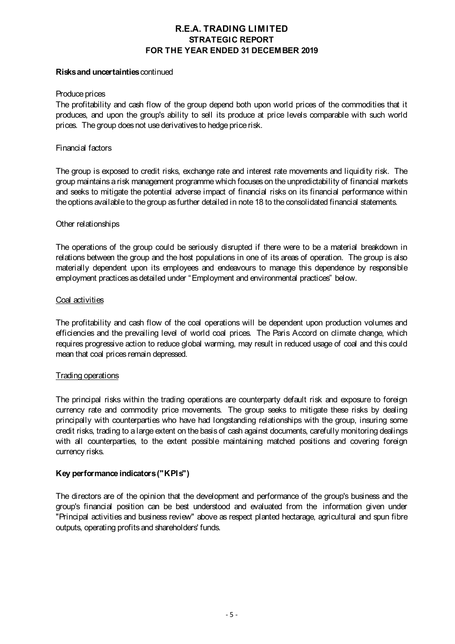#### **Risks and uncertainties** continued

### Produce prices

The profitability and cash flow of the group depend both upon world prices of the commodities that it produces, and upon the group's ability to sell its produce at price levels comparable with such world prices. The group does not use derivatives to hedge price risk.

### Financial factors

The group is exposed to credit risks, exchange rate and interest rate movements and liquidity risk. The group maintains a risk management programme which focuses on the unpredictability of financial markets and seeks to mitigate the potential adverse impact of financial risks on its financial performance within the options available to the group as further detailed in note 18 to the consolidated financial statements.

### Other relationships

The operations of the group could be seriously disrupted if there were to be a material breakdown in relations between the group and the host populations in one of its areas of operation. The group is also materially dependent upon its employees and endeavours to manage this dependence by responsible employment practices as detailed under "Employment and environmental practices" below.

### Coal activities

The profitability and cash flow of the coal operations will be dependent upon production volumes and efficiencies and the prevailing level of world coal prices. The Paris Accord on climate change, which requires progressive action to reduce global warming, may result in reduced usage of coal and this could mean that coal prices remain depressed.

#### Trading operations

The principal risks within the trading operations are counterparty default risk and exposure to foreign currency rate and commodity price movements. The group seeks to mitigate these risks by dealing principally with counterparties who have had longstanding relationships with the group, insuring some credit risks, trading to a large extent on the basis of cash against documents, carefully monitoring dealings with all counterparties, to the extent possible maintaining matched positions and covering foreign currency risks.

### **Key performance indicators ("KPIs")**

The directors are of the opinion that the development and performance of the group's business and the group's financial position can be best understood and evaluated from the information given under "Principal activities and business review" above as respect planted hectarage, agricultural and spun fibre outputs, operating profits and shareholders' funds.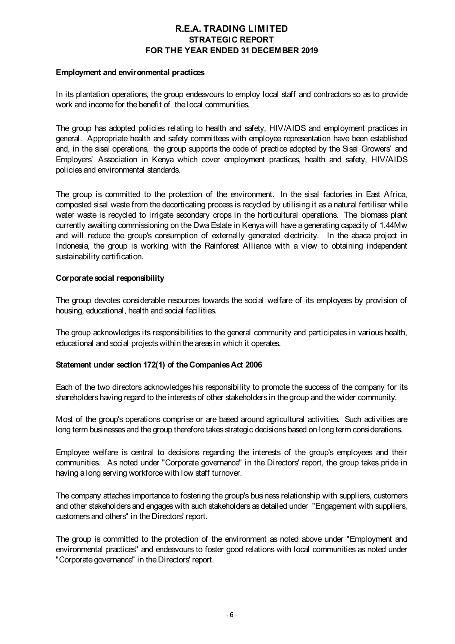### **Employment and environmental practices**

In its plantation operations, the group endeavours to employ local staff and contractors so as to provide work and income for the benefit of the local communities.

The group has adopted policies relating to health and safety, HIV/AIDS and employment practices in general. Appropriate health and safety committees with employee representation have been established and, in the sisal operations, the group supports the code of practice adopted by the Sisal Growers' and Employers' Association in Kenya which cover employment practices, health and safety, HIV/AIDS policies and environmental standards.

The group is committed to the protection of the environment. In the sisal factories in East Africa, composted sisal waste from the decorticating process is recycled by utilising it as a natural fertiliser while water waste is recycled to irrigate secondary crops in the horticultural operations. The biomass plant currently awaiting commissioning on the DwaEstate in Kenya will have a generating capacity of 1.44Mw and will reduce the group's consumption of externally generated electricity. In the abaca project in Indonesia, the group is working with the Rainforest Alliance with a view to obtaining independent sustainability certification.

### **Corporate social responsibility**

The group devotes considerable resources towards the social welfare of its employees by provision of housing, educational, health and social facilities.

The group acknowledges its responsibilities to the general community and participates in various health, educational and social projects within the areas in which it operates.

### **Statement under section 172(1) of the Companies Act 2006**

Each of the two directors acknowledges his responsibility to promote the success of the company for its shareholders having regard to the interests of other stakeholders in the group and the wider community.

Most of the group's operations comprise or are based around agricultural activities. Such activities are long term businesses and the group therefore takes strategic decisions based on long term considerations.

Employee welfare is central to decisions regarding the interests of the group's employees and their communities. As noted under "Corporate governance" in the Directors' report, the group takes pride in having a long serving workforce with low staff turnover.

The company attaches importance to fostering the group's business relationship with suppliers, customers and other stakeholders and engages with such stakeholders as detailed under "Engagement with suppliers, customers and others" in the Directors' report.

The group is committed to the protection of the environment as noted above under "Employment and environmental practices" and endeavours to foster good relations with local communities as noted under "Corporate governance" in the Directors' report.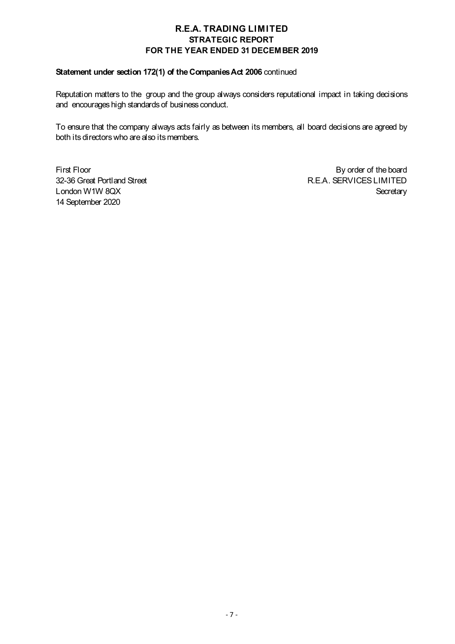## **Statement under section 172(1) of the Companies Act 2006 continued**

Reputation matters to the group and the group always considers reputational impact in taking decisions and encourages high standards of business conduct.

To ensure that the company always acts fairly as between its members, all board decisions are agreed by both its directors who are also its members.

14 September 2020

First Floor By order of the board 32-36 Great Portland Street **R.E.A. SERVICES LIMITED** London W1W 8QX Secretary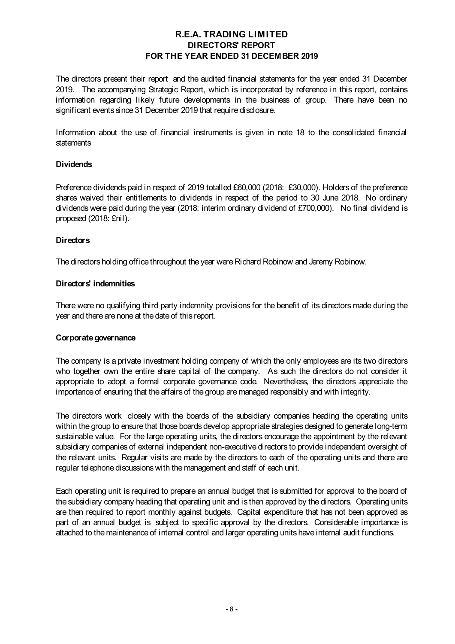The directors present their report and the audited financial statements for the year ended 31 December 2019. The accompanying Strategic Report, which is incorporated by reference in this report, contains information regarding likely future developments in the business of group. There have been no significant events since 31 December 2019 that require disclosure.

Information about the use of financial instruments is given in note 18 to the consolidated financial statements

### **Dividends**

Preference dividends paid in respect of 2019 totalled £60,000 (2018: £30,000). Holders of the preference shares waived their entitlements to dividends in respect of the period to 30 June 2018. No ordinary dividends were paid during the year (2018: interim ordinary dividend of £700,000). No final dividend is proposed (2018: £nil).

## **Directors**

The directors holding office throughout the year were Richard Robinow and Jeremy Robinow.

## **Directors' indemnities**

There were no qualifying third party indemnity provisions for the benefit of its directors made during the year and there are none at the date of this report.

### **Corporate governance**

The company is a private investment holding company of which the only employees are its two directors who together own the entire share capital of the company. As such the directors do not consider it appropriate to adopt a formal corporate governance code. Nevertheless, the directors appreciate the importance of ensuring that the affairs of the group are managed responsibly and with integrity.

The directors work closely with the boards of the subsidiary companies heading the operating units within the group to ensure that those boards develop appropriate strategies designed to generate long-term sustainable value. For the large operating units, the directors encourage the appointment by the relevant subsidiary companies of external independent non-executive directors to provide independent oversight of the relevant units. Regular visits are made by the directors to each of the operating units and there are regular telephone discussions with the management and staff of each unit.

Each operating unit is required to prepare an annual budget that is submitted for approval to the board of the subsidiary company heading that operating unit and is then approved by the directors. Operating units are then required to report monthly against budgets. Capital expenditure that has not been approved as part of an annual budget is subject to specific approval by the directors. Considerable importance is attached to the maintenance of internal control and larger operating units have internal audit functions.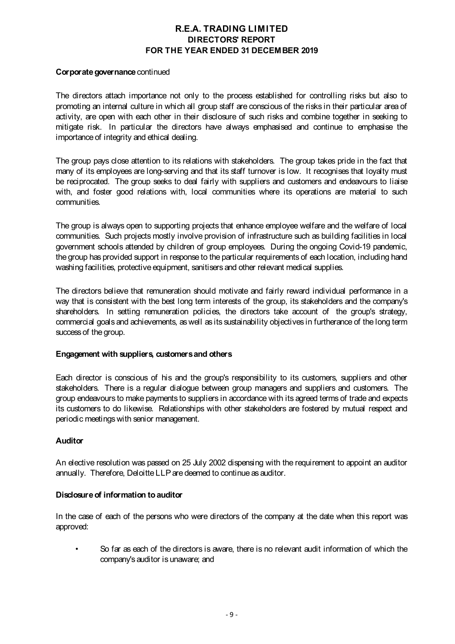### **Corporate governance** continued

The directors attach importance not only to the process established for controlling risks but also to promoting an internal culture in which all group staff are conscious of the risks in their particular area of activity, are open with each other in their disclosure of such risks and combine together in seeking to mitigate risk. In particular the directors have always emphasised and continue to emphasise the importance of integrity and ethical dealing.

The group pays close attention to its relations with stakeholders. The group takes pride in the fact that many of its employees are long-serving and that its staff turnover is low. It recognises that loyalty must be reciprocated. The group seeks to deal fairly with suppliers and customers and endeavours to liaise with, and foster good relations with, local communities where its operations are material to such communities.

The group is always open to supporting projects that enhance employee welfare and the welfare of local communities. Such projects mostly involve provision of infrastructure such as building facilities in local government schools attended by children of group employees. During the ongoing Covid-19 pandemic, the group has provided support in response to the particular requirements of each location, including hand washing facilities, protective equipment, sanitisers and other relevant medical supplies.

The directors believe that remuneration should motivate and fairly reward individual performance in a way that is consistent with the best long term interests of the group, its stakeholders and the company's shareholders. In setting remuneration policies, the directors take account of the group's strategy, commercial goals and achievements, as well as its sustainability objectives in furtherance of the long term success of the group.

### **Engagement with suppliers, customers and others**

Each director is conscious of his and the group's responsibility to its customers, suppliers and other stakeholders. There is a regular dialogue between group managers and suppliers and customers. The group endeavours to make payments to suppliers in accordance with its agreed terms of trade and expects its customers to do likewise. Relationships with other stakeholders are fostered by mutual respect and periodic meetings with senior management.

### **Auditor**

An elective resolution was passed on 25 July 2002 dispensing with the requirement to appoint an auditor annually. Therefore, Deloitte LLP are deemed to continue as auditor.

### **Disclosure of information to auditor**

In the case of each of the persons who were directors of the company at the date when this report was approved:

• So far as each of the directors is aware, there is no relevant audit information of which the company's auditor is unaware; and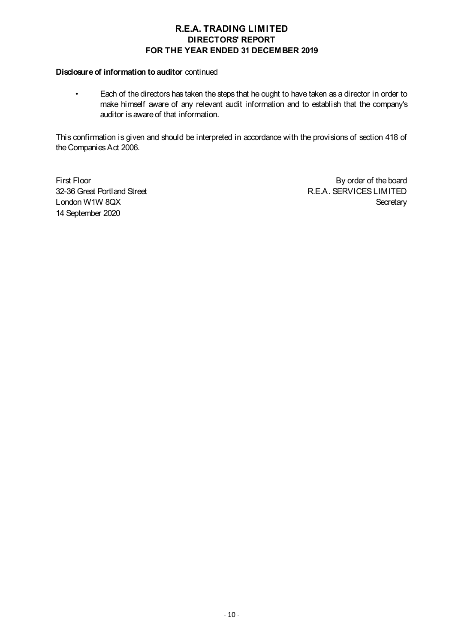## **Disclosure of information to auditor** continued

• Each of the directors has taken the steps that he ought to have taken as a director in order to make himself aware of any relevant audit information and to establish that the company's auditor is aware of that information.

This confirmation is given and should be interpreted in accordance with the provisions of section 418 of the Companies Act 2006.

14 September 2020

First Floor By order of the board 32-36 Great Portland Street **R.E.A. SERVICES LIMITED** London W1W 8QX Secretary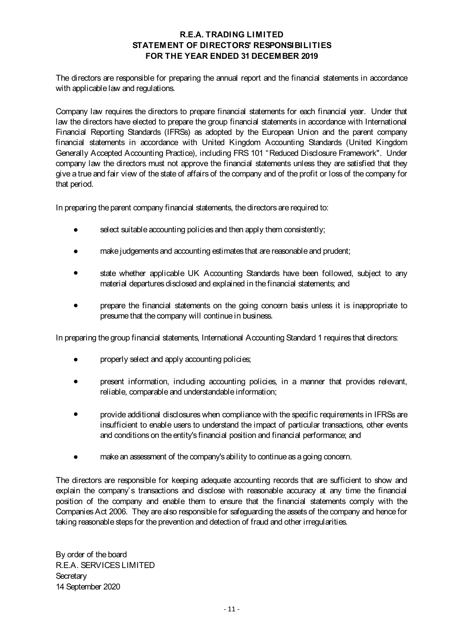## **R.E.A. TRADING LIMITED STATEMENT OF DIRECTORS' RESPONSIBILITIES FOR THE YEAR ENDED 31 DECEMBER 2019**

The directors are responsible for preparing the annual report and the financial statements in accordance with applicable law and regulations.

Company law requires the directors to prepare financial statements for each financial year. Under that law the directors have elected to prepare the group financial statements in accordance with International Financial Reporting Standards (IFRSs) as adopted by the European Union and the parent company financial statements in accordance with United Kingdom Accounting Standards (United Kingdom Generally Accepted Accounting Practice), including FRS 101 "Reduced Disclosure Framework". Under company law the directors must not approve the financial statements unless they are satisfied that they give a true and fair view of the state of affairs of the company and of the profit or loss of the company for that period.

In preparing the parent company financial statements, the directors are required to:

- select suitable accounting policies and then apply them consistently;
- make judgements and accounting estimates that are reasonable and prudent;
- $\bullet$ state whether applicable UK Accounting Standards have been followed, subject to any material departures disclosed and explained in the financial statements; and
- $\bullet$ prepare the financial statements on the going concern basis unless it is inappropriate to presume that the company will continue in business.

In preparing the group financial statements, International Accounting Standard 1 requires that directors:

- properly select and apply accounting policies;
- present information, including accounting policies, in a manner that provides relevant, reliable, comparable and understandable information;
- $\bullet$ provide additional disclosures when compliance with the specific requirements in IFRSs are insufficient to enable users to understand the impact of particular transactions, other events and conditions on the entity's financial position and financial performance; and
- make an assessment of the company's ability to continue as a going concern.

The directors are responsible for keeping adequate accounting records that are sufficient to show and explain the company's transactions and disclose with reasonable accuracy at any time the financial position of the company and enable them to ensure that the financial statements comply with the CompaniesAct 2006. They are also responsible for safeguarding the assets of the company and hence for taking reasonable steps for the prevention and detection of fraud and other irregularities.

By order of the board R.E.A. SERVICES LIMITED **Secretary** 14 September 2020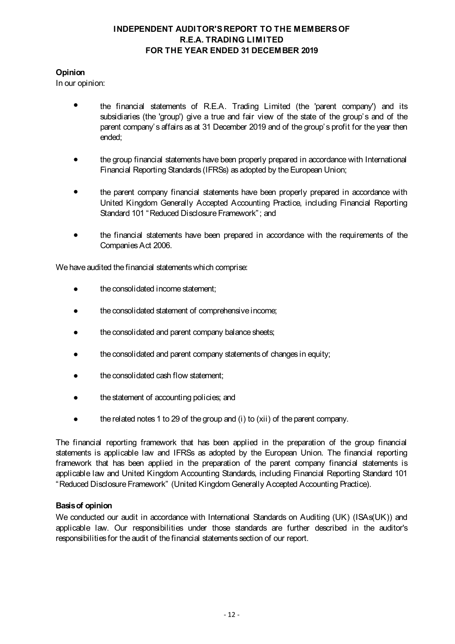## **R.E.A. TRADING LIMITED INDEPENDENT AUDITOR'S REPORT TO THE MEMBERS OF FOR THE YEAR ENDED 31 DECEMBER 2019**

## **Opinion**

In our opinion:

- the financial statements of R.E.A. Trading Limited (the 'parent company') and its subsidiaries (the 'group') give a true and fair view of the state of the group's and of the parent company's affairs as at 31 December 2019 and of the group's profit for the year then ended;
- the group financial statements have been properly prepared in accordance with International Financial Reporting Standards (IFRSs) as adopted by the European Union;
- the parent company financial statements have been properly prepared in accordance with United Kingdom Generally Accepted Accounting Practice, including Financial Reporting Standard 101 "Reduced Disclosure Framework"; and
- $\bullet$ the financial statements have been prepared in accordance with the requirements of the Companies Act 2006.

We have audited the financial statements which comprise:

- the consolidated income statement;
- the consolidated statement of comprehensive income;
- the consolidated and parent company balance sheets;
- the consolidated and parent company statements of changes in equity;
- the consolidated cash flow statement:
- the statement of accounting policies; and
- the related notes 1 to 29 of the group and (i) to (xii) of the parent company.

The financial reporting framework that has been applied in the preparation of the group financial statements is applicable law and IFRSs as adopted by the European Union. The financial reporting framework that has been applied in the preparation of the parent company financial statements is applicable law and United Kingdom Accounting Standards, including Financial Reporting Standard 101 "Reduced Disclosure Framework" (United Kingdom Generally Accepted Accounting Practice).

### **Basis of opinion**

We conducted our audit in accordance with International Standards on Auditing (UK) (ISAs(UK)) and applicable law. Our responsibilities under those standards are further described in the auditor's responsibilities for the audit of the financial statements section of our report.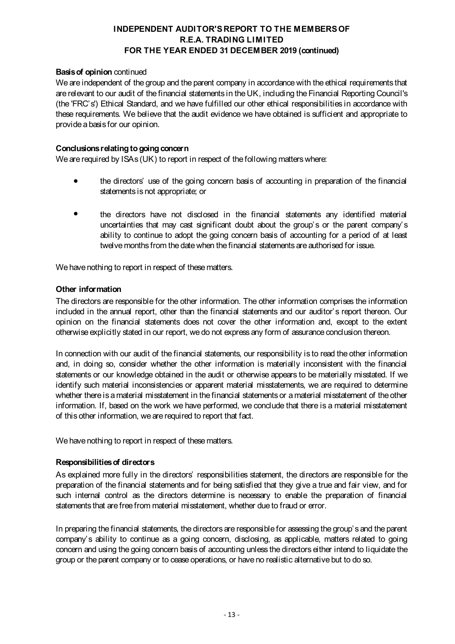## **INDEPENDENT AUDITOR'S REPORT TO THE MEMBERS OF R.E.A. TRADING LIMITED FOR THE YEAR ENDED 31 DECEMBER 2019 (continued)**

### **Basis of opinion** continued

We are independent of the group and the parent company in accordance with the ethical requirements that are relevant to our audit of the financial statements in the UK, including theFinancial Reporting Council's (the 'FRC's') Ethical Standard, and we have fulfilled our other ethical responsibilities in accordance with these requirements. We believe that the audit evidence we have obtained is sufficient and appropriate to provide a basis for our opinion.

#### **Conclusions relating to going concern**

We are required by ISAs (UK) to report in respect of the following matters where:

- the directors' use of the going concern basis of accounting in preparation of the financial statements is not appropriate; or
- the directors have not disclosed in the financial statements any identified material uncertainties that may cast significant doubt about the group's or the parent company's ability to continue to adopt the going concern basis of accounting for a period of at least twelve months from the date when the financial statements are authorised for issue.

We have nothing to report in respect of these matters.

### **Other information**

The directors are responsible for the other information. The other information comprises the information included in the annual report, other than the financial statements and our auditor's report thereon. Our opinion on the financial statements does not cover the other information and, except to the extent otherwise explicitly stated in our report, we do not express any form of assurance conclusion thereon.

In connection with our audit of the financial statements, our responsibility is to read the other information and, in doing so, consider whether the other information is materially inconsistent with the financial statements or our knowledge obtained in the audit or otherwise appears to be materially misstated. If we identify such material inconsistencies or apparent material misstatements, we are required to determine whether there is a material misstatement in the financial statements or a material misstatement of the other information. If, based on the work we have performed, we conclude that there is a material misstatement of this other information, we are required to report that fact.

We have nothing to report in respect of these matters.

### **Responsibilities of directors**

As explained more fully in the directors' responsibilities statement, the directors are responsible for the preparation of the financial statements and for being satisfied that they give a true and fair view, and for such internal control as the directors determine is necessary to enable the preparation of financial statements that are free from material misstatement, whether due to fraud or error.

In preparing the financial statements, the directors are responsible for assessing the group's and the parent company's ability to continue as a going concern, disclosing, as applicable, matters related to going concern and using the going concern basis of accounting unless the directors either intend to liquidate the group or the parent company or to cease operations, or have no realistic alternative but to do so.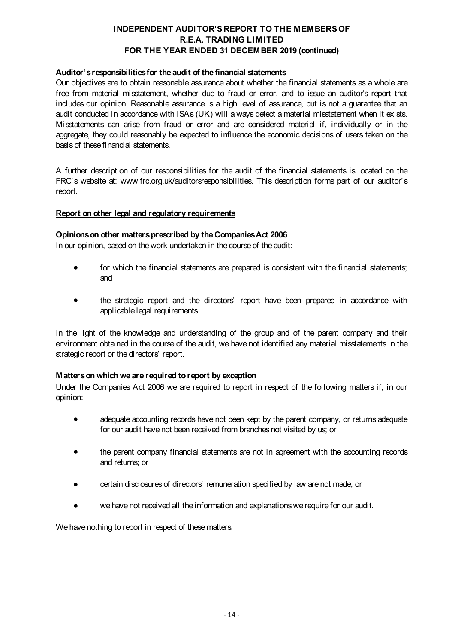## **R.E.A. TRADING LIMITED FOR THE YEAR ENDED 31 DECEMBER 2019 (continued) INDEPENDENT AUDITOR'S REPORT TO THE MEMBERS OF**

### **Auditor's responsibilities for the audit of the financial statements**

Our objectives are to obtain reasonable assurance about whether the financial statements as a whole are free from material misstatement, whether due to fraud or error, and to issue an auditor's report that includes our opinion. Reasonable assurance is a high level of assurance, but is not a guarantee that an audit conducted in accordance with ISAs (UK) will always detect a material misstatement when it exists. Misstatements can arise from fraud or error and are considered material if, individually or in the aggregate, they could reasonably be expected to influence the economic decisions of users taken on the basis of these financial statements.

A further description of our responsibilities for the audit of the financial statements is located on the FRC's website at: www.frc.org.uk/auditorsresponsibilities. This description forms part of our auditor's report.

### **Report on other legal and regulatory requirements**

#### **Opinions on other matters prescribed by the Companies Act 2006**

In our opinion, based on the work undertaken in the course of the audit:

- $\bullet$ for which the financial statements are prepared is consistent with the financial statements; and
- the strategic report and the directors' report have been prepared in accordance with applicable legal requirements.

In the light of the knowledge and understanding of the group and of the parent company and their environment obtained in the course of the audit, we have not identified any material misstatements in the strategic report or the directors' report.

#### **Matters on which we are required to report by exception**

Under the Companies Act 2006 we are required to report in respect of the following matters if, in our opinion:

- adequate accounting records have not been kept by the parent company, or returns adequate for our audit have not been received from branches not visited by us; or
- the parent company financial statements are not in agreement with the accounting records and returns; or
- certain disclosures of directors' remuneration specified by law are not made; or
- we have not received all the information and explanations we require for our audit.

We have nothing to report in respect of these matters.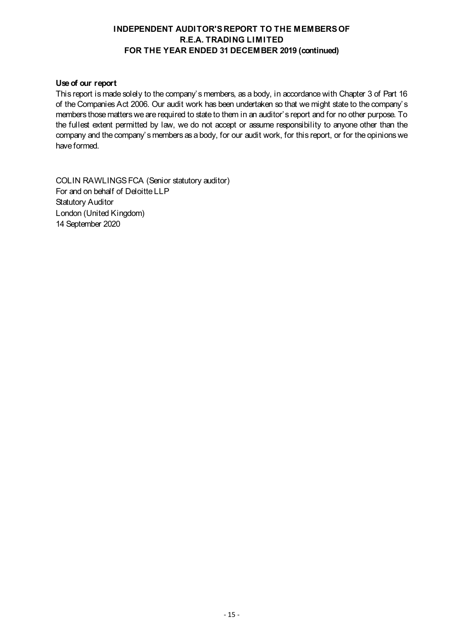## **R.E.A. TRADING LIMITED FOR THE YEAR ENDED 31 DECEMBER 2019 (continued) INDEPENDENT AUDITOR'S REPORT TO THE MEMBERS OF**

## **Use of our report**

This report is made solely to the company's members, as a body, in accordance with Chapter 3 of Part 16 of the Companies Act 2006. Our audit work has been undertaken so that we might state to the company's members those matters we are required to state to them in an auditor's report and for no other purpose. To the fullest extent permitted by law, we do not accept or assume responsibility to anyone other than the company and the company's members as a body, for our audit work, for this report, or for the opinions we have formed.

COLIN RAWLINGS FCA (Senior statutory auditor) For and on behalf of Deloitte LLP Statutory Auditor London (United Kingdom) 14 September 2020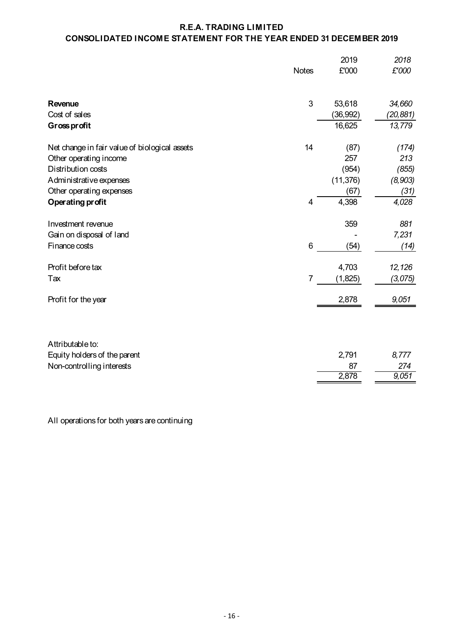## **R.E.A. TRADING LIMITED CONSOLIDATED INCOME STATEMENT FOR THE YEAR ENDED 31 DECEMBER 2019**

|                                               |              | 2019      | 2018      |
|-----------------------------------------------|--------------|-----------|-----------|
|                                               | <b>Notes</b> | £'000     | £'000     |
| <b>Revenue</b>                                | 3            | 53,618    | 34,660    |
| Cost of sales                                 |              | (36, 992) | (20, 881) |
| Gross profit                                  |              | 16,625    | 13,779    |
| Net change in fair value of biological assets | 14           | (87)      | (174)     |
| Other operating income                        |              | 257       | 213       |
| Distribution costs                            |              | (954)     | (855)     |
| Administrative expenses                       |              | (11, 376) | (8,903)   |
| Other operating expenses                      |              | (67)      | (31)      |
| Operating profit                              | 4            | 4,398     | 4,028     |
| Investment revenue                            |              | 359       | 881       |
| Gain on disposal of land                      |              |           | 7,231     |
| Finance costs                                 | 6            | (54)      | (14)      |
| Profit before tax                             |              | 4,703     | 12,126    |
| Tax                                           | 7            | (1,825)   | (3,075)   |
| Profit for the year                           |              | 2,878     | 9,051     |
|                                               |              |           |           |
| Attributable to:                              |              |           |           |
| Equity holders of the parent                  |              | 2,791     | 8,777     |
| Non-controlling interests                     |              | 87        | 274       |
|                                               |              | 2,878     | 9,051     |

All operations for both years are continuing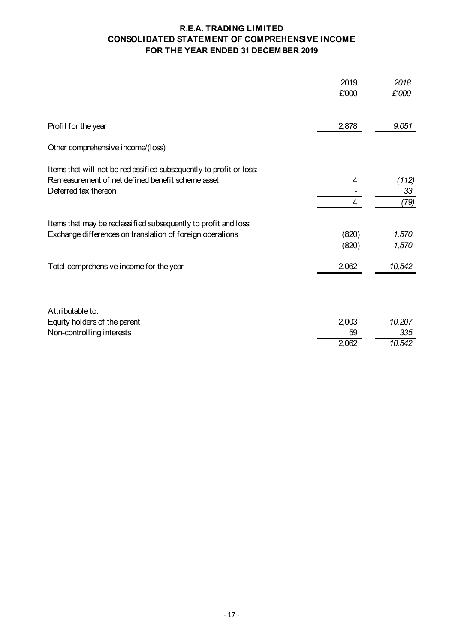## **CONSOLIDATED STATEMENT OF COMPREHENSIVE INCOME FOR THE YEAR ENDED 31 DECEMBER 2019 R.E.A. TRADING LIMITED**

|                                                                                                                                                  | 2019<br>£'000        | 2018<br>£'000           |
|--------------------------------------------------------------------------------------------------------------------------------------------------|----------------------|-------------------------|
| Profit for the year                                                                                                                              | 2,878                | 9,051                   |
| Other comprehensive income/(loss)                                                                                                                |                      |                         |
| Items that will not be reclassified subsequently to profit or loss:<br>Remeasurement of net defined benefit scheme asset<br>Deferred tax thereon | 4<br>$\overline{4}$  | (112)<br>33<br>(79)     |
| Items that may be reclassified subsequently to profit and loss:<br>Exchange differences on translation of foreign operations                     | (820)<br>(820)       | 1,570<br>1,570          |
| Total comprehensive income for the year                                                                                                          | 2,062                | 10,542                  |
| Attributable to:<br>Equity holders of the parent<br>Non-controlling interests                                                                    | 2,003<br>59<br>2,062 | 10,207<br>335<br>10,542 |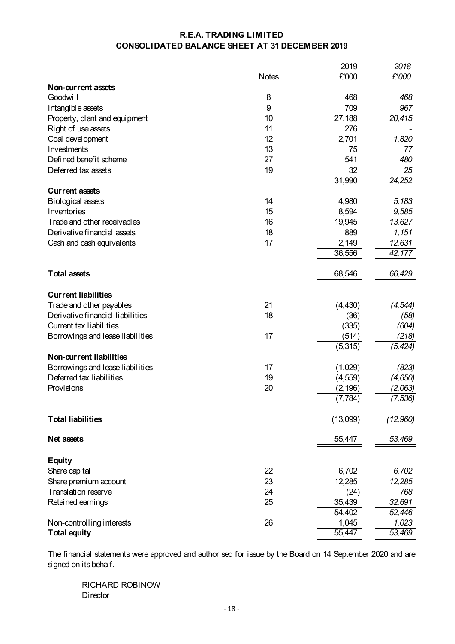## **CONSOLIDATED BALANCE SHEET AT 31 DECEMBER 2019 R.E.A. TRADING LIMITED**

|                                  |              | 2019     | 2018     |
|----------------------------------|--------------|----------|----------|
|                                  | <b>Notes</b> | £'000    | £'000    |
| Non-current assets               |              |          |          |
| Goodwill                         | 8            | 468      | 468      |
| Intangible assets                | 9            | 709      | 967      |
| Property, plant and equipment    | 10           | 27,188   | 20,415   |
| Right of use assets              | 11           | 276      |          |
| Coal development                 | 12           | 2,701    | 1,820    |
| Investments                      | 13           | 75       | 77       |
| Defined benefit scheme           | 27           | 541      | 480      |
| Deferred tax assets              | 19           | 32       | 25       |
|                                  |              | 31,990   | 24,252   |
| <b>Current assets</b>            |              |          |          |
| Biological assets                | 14           | 4,980    | 5,183    |
| Inventories                      | 15           | 8,594    | 9,585    |
| Trade and other receivables      | 16           | 19,945   | 13,627   |
| Derivative financial assets      | 18           | 889      | 1,151    |
| Cash and cash equivalents        | 17           | 2,149    | 12,631   |
|                                  |              | 36,556   | 42,177   |
|                                  |              |          |          |
| <b>Total assets</b>              |              | 68,546   | 66,429   |
| <b>Current liabilities</b>       |              |          |          |
| Trade and other payables         | 21           | (4, 430) | (4, 544) |
| Derivative financial liabilities | 18           | (36)     | (58)     |
| Current tax liabilities          |              | (335)    | (604)    |
| Borrowings and lease liabilities | 17           | (514)    | (218)    |
|                                  |              | (5, 315) | (5, 424) |
| Non-current liabilities          |              |          |          |
| Borrowings and lease liabilities | 17           | (1,029)  | (823)    |
| Deferred tax liabilities         | 19           | (4, 559) | (4,650)  |
| Provisions                       | 20           | (2, 196) | (2,063)  |
|                                  |              | (7, 784) | (7, 536) |
|                                  |              |          |          |
| <b>Total liabilities</b>         |              | (13,099) | (12,960) |
| Net assets                       |              | 55,447   | 53,469   |
| <b>Equity</b>                    |              |          |          |
| Share capital                    | 22           | 6,702    | 6,702    |
| Share premium account            | 23           | 12,285   | 12,285   |
| <b>Translation reserve</b>       | 24           | (24)     | 768      |
| Retained earnings                | 25           | 35,439   | 32,691   |
|                                  |              | 54,402   | 52,446   |
| Non-controlling interests        | 26           | 1,045    | 1,023    |
| <b>Total equity</b>              |              | 55,447   | 53,469   |
|                                  |              |          |          |

The financial statements were approved and authorised for issue by the Board on 14 September 2020 and are signed on its behalf.

RICHARD ROBINOW Director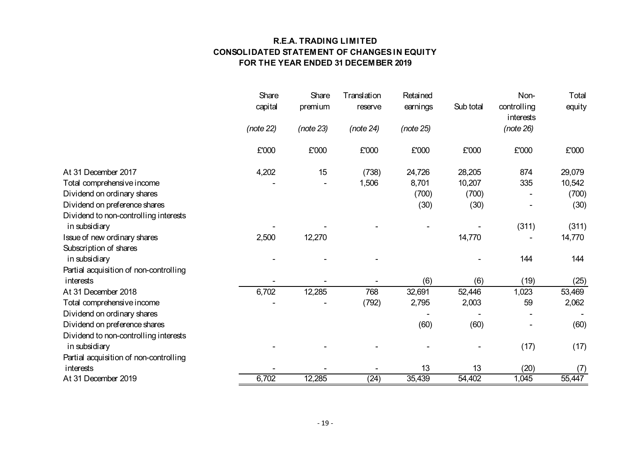## **R.E.A. TRADING LIMITED CONSOLIDATED STATEMENT OF CHANGES IN EQUITY FOR THE YEAR ENDED 31 DECEMBER 2019**

|                                        | Share<br>capital | Share<br>premium | Translation<br>reserve | Retained<br>earnings | Sub total | Non-<br>controlling<br>interests | Total<br>equity |
|----------------------------------------|------------------|------------------|------------------------|----------------------|-----------|----------------------------------|-----------------|
|                                        | (note 22)        | (note 23)        | (note 24)              | (note 25)            |           | (note 26)                        |                 |
|                                        | £'000            | £'000            | £'000                  | £'000                | £'000     | £'000                            | £'000           |
| At 31 December 2017                    | 4,202            | 15               | (738)                  | 24,726               | 28,205    | 874                              | 29,079          |
| Total comprehensive income             |                  |                  | 1,506                  | 8,701                | 10,207    | 335                              | 10,542          |
| Dividend on ordinary shares            |                  |                  |                        | (700)                | (700)     |                                  | (700)           |
| Dividend on preference shares          |                  |                  |                        | (30)                 | (30)      |                                  | (30)            |
| Dividend to non-controlling interests  |                  |                  |                        |                      |           |                                  |                 |
| in subsidiary                          |                  |                  |                        |                      |           | (311)                            | (311)           |
| Issue of new ordinary shares           | 2,500            | 12,270           |                        |                      | 14,770    |                                  | 14,770          |
| Subscription of shares                 |                  |                  |                        |                      |           |                                  |                 |
| in subsidiary                          |                  |                  |                        |                      |           | 144                              | 144             |
| Partial acquisition of non-controlling |                  |                  |                        |                      |           |                                  |                 |
| interests                              |                  |                  |                        | (6)                  | (6)       | (19)                             | (25)            |
| At 31 December 2018                    | 6,702            | 12,285           | 768                    | 32,691               | 52,446    | 1,023                            | 53,469          |
| Total comprehensive income             |                  |                  | (792)                  | 2,795                | 2,003     | 59                               | 2,062           |
| Dividend on ordinary shares            |                  |                  |                        |                      |           |                                  |                 |
| Dividend on preference shares          |                  |                  |                        | (60)                 | (60)      |                                  | (60)            |
| Dividend to non-controlling interests  |                  |                  |                        |                      |           |                                  |                 |
| in subsidiary                          |                  |                  |                        |                      |           | (17)                             | (17)            |
| Partial acquisition of non-controlling |                  |                  |                        |                      |           |                                  |                 |
| interests                              |                  |                  |                        | 13                   | 13        | (20)                             | (7)             |
| At 31 December 2019                    | 6,702            | 12,285           | (24)                   | 35,439               | 54,402    | 1,045                            | 55,447          |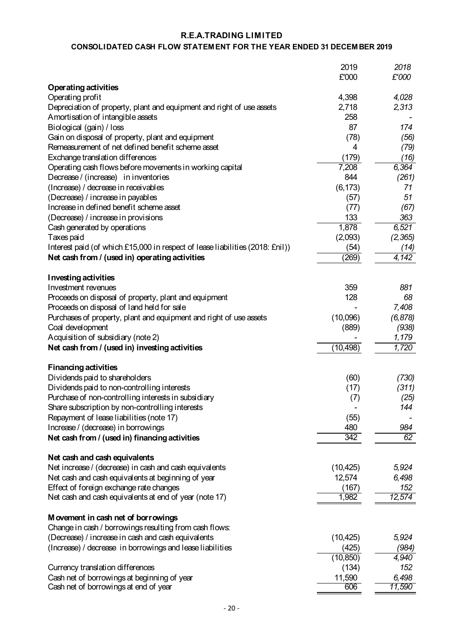## **R.E.A.TRADING LIMITED**

## **CONSOLIDATED CASH FLOW STATEMENT FOR THE YEAR ENDED 31 DECEMBER 2019**

|                                                                                      | 2019             | 2018           |
|--------------------------------------------------------------------------------------|------------------|----------------|
|                                                                                      | £'000            | £'000          |
| <b>Operating activities</b>                                                          |                  |                |
| Operating profit                                                                     | 4,398            | 4,028          |
| Depreciation of property, plant and equipment and right of use assets                | 2,718            | 2,313          |
| Amortisation of intangible assets                                                    | 258              |                |
| Biological (gain) / loss                                                             | 87               | 174            |
| Gain on disposal of property, plant and equipment                                    | (78)             | (56)           |
| Remeasurement of net defined benefit scheme asset                                    | 4                | (79)           |
| Exchange translation differences                                                     | (179)            | (16)           |
| Operating cash flows before movements in working capital                             | 7,208            | 6,364          |
| Decrease / (increase) in inventories                                                 | 844              | (261)          |
| (Increase) / decrease in receivables                                                 | (6, 173)         | 71             |
| (Decrease) / increase in payables                                                    | (57)             | 51             |
| Increase in defined benefit scheme asset                                             | (77)             | (67)           |
| (Decrease) / increase in provisions                                                  | 133              | 363            |
| Cash generated by operations                                                         | 1,878            | 6,521          |
| Taxes paid                                                                           | (2,093)          | (2, 365)       |
| Interest paid (of which £15,000 in respect of lease liabilities (2018: £nil))        | (54)             | (14)           |
| Net cash from / (used in) operating activities                                       | (269)            | 4,142          |
|                                                                                      |                  |                |
| <b>Investing activities</b>                                                          |                  |                |
| Investment revenues                                                                  | 359              | 881            |
| Proceeds on disposal of property, plant and equipment                                | 128              | 68             |
| Proceeds on disposal of land held for sale                                           |                  | 7,408          |
| Purchases of property, plant and equipment and right of use assets                   | (10,096)         | (6, 878)       |
| Coal development                                                                     | (889)            | (938)<br>1,179 |
| Acquisition of subsidiary (note 2)<br>Net cash from / (used in) investing activities | (10, 498)        | 1,720          |
|                                                                                      |                  |                |
| <b>Financing activities</b>                                                          |                  |                |
| Dividends paid to shareholders                                                       | (60)             | (730)          |
| Dividends paid to non-controlling interests                                          | (17)             | (311)          |
| Purchase of non-controlling interests in subsidiary                                  | (7)              | (25)           |
| Share subscription by non-controlling interests                                      |                  | 144            |
| Repayment of lease liabilities (note 17)                                             | (55)             |                |
| Increase / (decrease) in borrowings                                                  | 480              | 984            |
| Net cash from / (used in) financing activities                                       | $\overline{342}$ | 62             |
|                                                                                      |                  |                |
| Net cash and cash equivalents                                                        |                  |                |
| Net increase / (decrease) in cash and cash equivalents                               | (10, 425)        | 5,924          |
| Net cash and cash equivalents at beginning of year                                   | 12,574           | 6,498          |
| Effect of foreign exchange rate changes                                              | (167)            | 152            |
| Net cash and cash equivalents at end of year (note 17)                               | 1,982            | 12,574         |
|                                                                                      |                  |                |
| M ovement in cash net of borrowings                                                  |                  |                |
| Change in cash / borrowings resulting from cash flows:                               |                  |                |
| (Decrease) / increase in cash and cash equivalents                                   | (10, 425)        | 5,924          |
| (Increase) / decrease in borrowings and lease liabilities                            | (425)            | (984)          |
|                                                                                      | (10, 850)        | 4,940          |
| Currency translation differences                                                     | (134)            | 152            |
| Cash net of borrowings at beginning of year                                          | 11,590           | 6,498          |
| Cash net of borrowings at end of year                                                | 606              | 11,590         |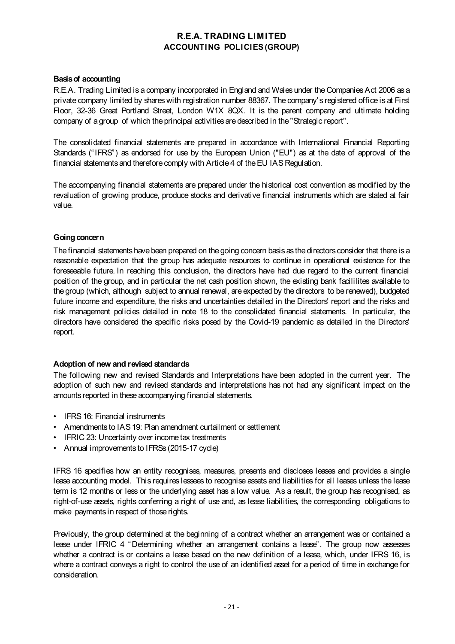### **Basis of accounting**

R.E.A. Trading Limited is a company incorporated in England and Wales under the Companies Act 2006 as a private company limited by shares with registration number 88367. The company's registered office is at First Floor, 32-36 Great Portland Street, London W1X 8QX. It is the parent company and ultimate holding company of a group of which the principal activities are described in the "Strategic report".

The consolidated financial statements are prepared in accordance with International Financial Reporting Standards ("IFRS") as endorsed for use by the European Union ("EU") as at the date of approval of the financial statements and therefore comply with Article 4 of the EU IAS Regulation.

The accompanying financial statements are prepared under the historical cost convention as modified by the revaluation of growing produce, produce stocks and derivative financial instruments which are stated at fair value.

### **Going concern**

The financial statements have been prepared on the going concern basis as the directors consider that there is a reasonable expectation that the group has adequate resources to continue in operational existence for the foreseeable future. In reaching this conclusion, the directors have had due regard to the current financial position of the group, and in particular the net cash position shown, the existing bank facililites available to the group (which, although subject to annual renewal, are expected by thedirectors to be renewed), budgeted future income and expenditure, the risks and uncertainties detailed in the Directors' report and the risks and risk management policies detailed in note 18 to the consolidated financial statements. In particular, the directors have considered the specific risks posed by the Covid-19 pandemic as detailed in the Directors' report.

#### **Adoption of new and revised standards**

The following new and revised Standards and Interpretations have been adopted in the current year. The adoption of such new and revised standards and interpretations has not had any significant impact on the amounts reported in these accompanying financial statements.

- IFRS 16: Financial instruments
- Amendments to IAS 19: Plan amendment curtailment or settlement
- IFRIC 23: Uncertainty over income tax treatments
- Annual improvements to IFRSs (2015-17 cycle)

IFRS 16 specifies how an entity recognises, measures, presents and discloses leases and provides a single lease accounting model. This requires lessees to recognise assets and liabilities for all leases unless the lease term is 12 months or less or the underlying asset has a low value. As a result, the group has recognised, as right-of-use assets, rights conferring a right of use and, as lease liabilities, the corresponding obligations to make payments in respect of those rights.

Previously, the group determined at the beginning of a contract whether an arrangement was or contained a lease under IFRIC 4 "Determining whether an arrangement contains a lease". The group now assesses whether a contract is or contains a lease based on the new definition of a lease, which, under IFRS 16, is where a contract conveys a right to control the use of an identified asset for a period of time in exchange for consideration.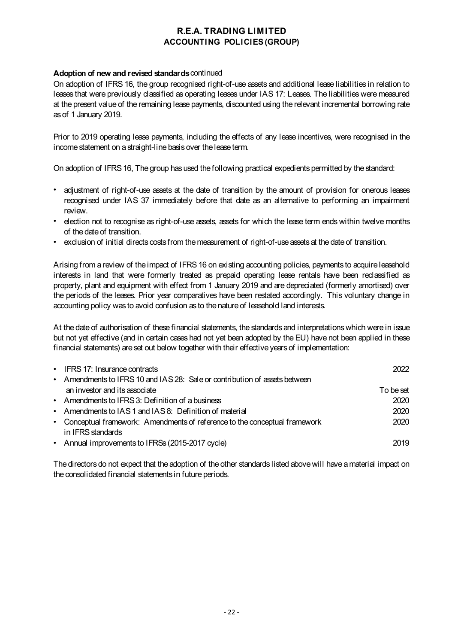### **Adoption of new and revised standards** continued

On adoption of IFRS 16, the group recognised right-of-use assets and additional lease liabilities in relation to leases that were previously classified as operating leases under IAS 17: Leases. The liabilities were measured at the present value of the remaining lease payments, discounted using the relevant incremental borrowing rate as of 1 January 2019.

Prior to 2019 operating lease payments, including the effects of any lease incentives, were recognised in the income statement on a straight-line basis over the lease term.

On adoption of IFRS 16, The group has used the following practical expedients permitted by the standard:

- adjustment of right-of-use assets at the date of transition by the amount of provision for onerous leases recognised under IAS 37 immediately before that date as an alternative to performing an impairment review.
- election not to recognise as right-of-use assets, assets for which the lease term ends within twelve months of the date of transition.
- exclusion of initial directs costs from the measurement of right-of-use assets at the date of transition.

Arising from a review of the impact of IFRS 16 on existing accounting policies, payments to acquire leasehold interests in land that were formerly treated as prepaid operating lease rentals have been reclassified as property, plant and equipment with effect from 1 January 2019 and are depreciated (formerly amortised) over the periods of the leases. Prior year comparatives have been restated accordingly. This voluntary change in accounting policy was to avoid confusion as to the nature of leasehold land interests.

At the date of authorisation of these financial statements, the standards and interpretations which were in issue but not yet effective (and in certain cases had not yet been adopted by the EU) have not been applied in these financial statements) are set out below together with their effective years of implementation:

| • IFRS 17: Insurance contracts                                                                   | 2022      |
|--------------------------------------------------------------------------------------------------|-----------|
| • Amendments to IFRS 10 and IAS 28: Sale or contribution of assets between                       |           |
| an investor and its associate                                                                    | To be set |
| • Amendments to IFRS 3: Definition of a business                                                 | 2020      |
| • Amendments to IAS 1 and IAS 8: Definition of material                                          | 2020      |
| • Conceptual framework: Amendments of reference to the conceptual framework<br>in IFRS standards | 2020      |
| • Annual improvements to IFRSs (2015-2017 cycle)                                                 | 2019      |

The directors do not expect that the adoption of the other standards listed above will have a material impact on the consolidated financial statements in future periods.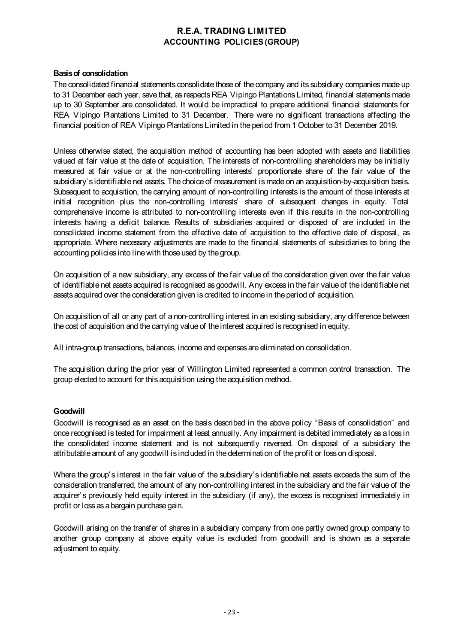#### **Basis of consolidation**

The consolidated financial statements consolidate those of the company and its subsidiary companies made up to 31 December each year, save that, as respects REA Vipingo Plantations Limited, financial statements made up to 30 September are consolidated. It would be impractical to prepare additional financial statements for REA Vipingo Plantations Limited to 31 December. There were no significant transactions affecting the financial position of REA Vipingo Plantations Limited in the period from 1 October to 31 December 2019.

Unless otherwise stated, the acquisition method of accounting has been adopted with assets and liabilities valued at fair value at the date of acquisition. The interests of non-controlling shareholders may be initially measured at fair value or at the non-controlling interests' proportionate share of the fair value of the subsidiary's identifiable net assets. The choice of measurement is made on an acquisition-by-acquisition basis. Subsequent to acquisition, the carrying amount of non-controlling interests is the amount of those interests at initial recognition plus the non-controlling interests' share of subsequent changes in equity. Total comprehensive income is attributed to non-controlling interests even if this results in the non-controlling interests having a deficit balance. Results of subsidiaries acquired or disposed of are included in the consolidated income statement from the effective date of acquisition to the effective date of disposal, as appropriate. Where necessary adjustments are made to the financial statements of subsidiaries to bring the accounting policies into line with those used by the group.

On acquisition of a new subsidiary, any excess of the fair value of the consideration given over the fair value of identifiablenet assetsacquired is recognised asgoodwill. Any excess in the fair value of the identifiablenet assets acquired over the consideration given is credited to income in the period of acquisition.

On acquisition of all or any part of a non-controlling interest in an existing subsidiary, any difference between the cost of acquisition and the carrying value of the interest acquired is recognised in equity.

All intra-group transactions, balances, income and expenses are eliminated on consolidation.

The acquisition during the prior year of Willington Limited represented a common control transaction. The group elected to account for this acquisition using the acquisition method.

#### **Goodwill**

Goodwill is recognised as an asset on the basis described in the above policy "Basis of consolidation" and once recognised is tested for impairment at least annually. Any impairment is debited immediately as a loss in the consolidated income statement and is not subsequently reversed. On disposal of a subsidiary the attributable amount of any goodwill is included in the determination of the profit or loss on disposal.

Where the group's interest in the fair value of the subsidiary's identifiable net assets exceeds the sum of the consideration transferred, the amount of any non-controlling interest in the subsidiary and the fair value of the acquirer's previously held equity interest in the subsidiary (if any), the excess is recognised immediately in profit or loss as a bargain purchase gain.

Goodwill arising on the transfer of shares in a subsidiary company from one partly owned group company to another group company at above equity value is excluded from goodwill and is shown as a separate adjustment to equity.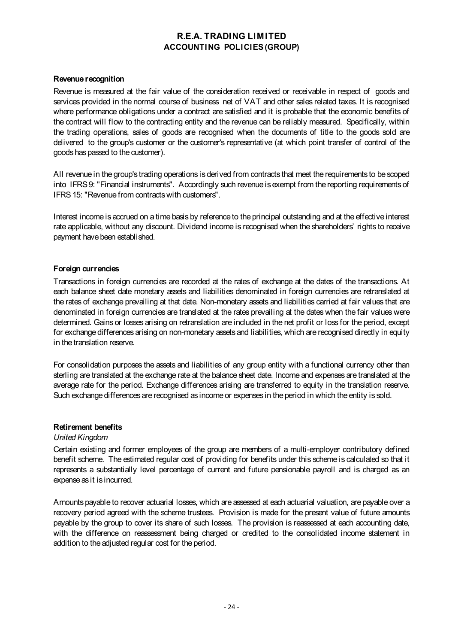#### **Revenue recognition**

Revenue is measured at the fair value of the consideration received or receivable in respect of goods and services provided in the normal course of business net of VAT and other sales related taxes. It is recognised where performance obligations under a contract are satisfied and it is probable that the economic benefits of the contract will flow to the contracting entity and the revenue can be reliably measured. Specifically, within the trading operations, sales of goods are recognised when the documents of title to the goods sold are delivered to the group's customer or the customer's representative (at which point transfer of control of the goods has passed to the customer).

All revenue in the group's trading operations is derived from contracts that meet the requirements to bescoped into IFRS9: "Financial instruments". Accordingly such revenue is exempt from the reporting requirements of IFRS 15: "Revenue from contracts with customers".

Interest income is accrued on a time basis by reference to the principal outstanding and at the effective interest rate applicable, without any discount. Dividend income is recognised when the shareholders' rights to receive payment have been established.

### **Foreign currencies**

Transactions in foreign currencies are recorded at the rates of exchange at the dates of the transactions. At each balance sheet date monetary assets and liabilities denominated in foreign currencies are retranslated at the rates of exchange prevailing at that date. Non-monetary assets and liabilities carried at fair values that are denominated in foreign currencies are translated at the rates prevailing at the dates when the fair values were determined. Gains or losses arising on retranslation are included in the net profit or loss for the period, except for exchangedifferences arising on non-monetary assets and liabilities, which are recognised directly in equity in the translation reserve.

For consolidation purposes the assets and liabilities of any group entity with a functional currency other than sterling are translated at the exchange rate at the balance sheet date. Income and expenses are translated at the average rate for the period. Exchange differences arising are transferred to equity in the translation reserve. Such exchange differences are recognised as income or expenses in the period in which the entity is sold.

#### **Retirement benefits**

#### *United Kingdom*

Certain existing and former employees of the group are members of a multi-employer contributory defined benefit scheme. The estimated regular cost of providing for benefits under this scheme is calculated so that it represents a substantially level percentage of current and future pensionable payroll and is charged as an expense as it is incurred.

Amounts payable to recover actuarial losses, which are assessed at each actuarial valuation, arepayable over a recovery period agreed with the scheme trustees. Provision is made for the present value of future amounts payable by the group to cover its share of such losses. The provision is reassessed at each accounting date, with the difference on reassessment being charged or credited to the consolidated income statement in addition to the adjusted regular cost for the period.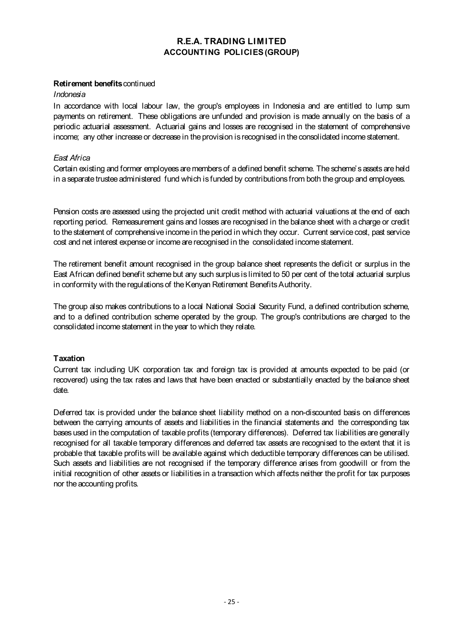#### **Retirement benefits** continued

#### *Indonesia*

In accordance with local labour law, the group's employees in Indonesia and are entitled to lump sum payments on retirement. These obligations are unfunded and provision is made annually on the basis of a periodic actuarial assessment. Actuarial gains and losses are recognised in the statement of comprehensive income; any other increase or decrease in the provision is recognised in the consolidated income statement.

### *East Africa*

Certain existing and former employees are members of a defined benefit scheme. The scheme's assets are held in a separate trustee administered fund which is funded by contributions from both the group and employees.

Pension costs are assessed using the projected unit credit method with actuarial valuations at the end of each reporting period. Remeasurement gains and losses are recognised in the balance sheet with a charge or credit to the statement of comprehensive income in the period in which they occur. Current service cost, past service cost and net interest expense or income are recognised in the consolidated income statement.

The retirement benefit amount recognised in the group balance sheet represents the deficit or surplus in the East African defined benefit scheme but any such surplus is limited to 50 per cent of thetotal actuarial surplus in conformity with the regulations of the Kenyan Retirement Benefits Authority.

The group also makes contributions to a local National Social Security Fund, a defined contribution scheme, and to a defined contribution scheme operated by the group. The group's contributions are charged to the consolidated income statement in the year to which they relate.

### **Taxation**

Current tax including UK corporation tax and foreign tax is provided at amounts expected to be paid (or recovered) using the tax rates and laws that have been enacted or substantially enacted by the balance sheet date.

Deferred tax is provided under the balance sheet liability method on a non-discounted basis on differences between the carrying amounts of assets and liabilities in the financial statements and the corresponding tax bases used in the computation of taxable profits (temporary differences). Deferred tax liabilities are generally recognised for all taxable temporary differences and deferred tax assets are recognised to the extent that it is probable that taxable profits will be available against which deductible temporary differences can be utilised. Such assets and liabilities are not recognised if the temporary difference arises from goodwill or from the initial recognition of other assets or liabilities in a transaction which affects neither the profit for tax purposes nor the accounting profits.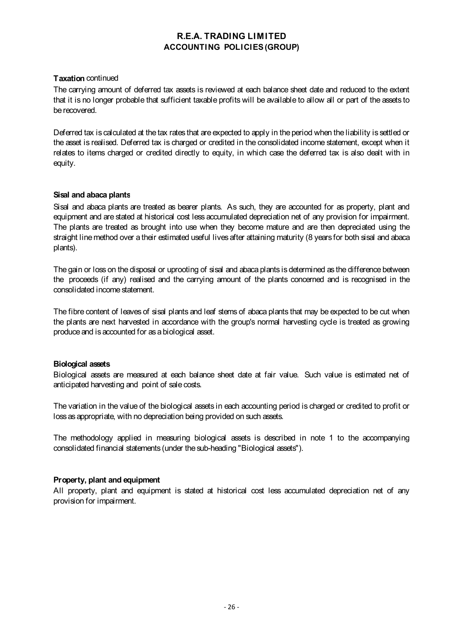#### **Taxation** continued

The carrying amount of deferred tax assets is reviewed at each balance sheet date and reduced to the extent that it is no longer probable that sufficient taxable profits will be available to allow all or part of the assets to be recovered.

Deferred tax is calculated at the tax rates that are expected to apply in the period when the liability is settled or the asset is realised. Deferred tax is charged or credited in the consolidated income statement, except when it relates to items charged or credited directly to equity, in which case the deferred tax is also dealt with in equity.

### **Sisal and abaca plants**

Sisal and abaca plants are treated as bearer plants. As such, they are accounted for as property, plant and equipment and are stated at historical cost less accumulated depreciation net of any provision for impairment. The plants are treated as brought into use when they become mature and are then depreciated using the straight linemethod over a their estimated useful lives after attaining maturity (8 years for both sisal and abaca plants).

The gain or loss on the disposal or uprooting of sisal and abaca plants is determined as the difference between the proceeds (if any) realised and the carrying amount of the plants concerned and is recognised in the consolidated income statement.

The fibre content of leaves of sisal plants and leaf stems of abaca plants that may be expected to be cut when the plants are next harvested in accordance with the group's normal harvesting cycle is treated as growing produce and is accounted for as a biological asset.

#### **Biological assets**

Biological assets are measured at each balance sheet date at fair value. Such value is estimated net of anticipated harvesting and point of sale costs.

The variation in the value of the biological assets in each accounting period is charged or credited to profit or loss as appropriate, with no depreciation being provided on such assets.

The methodology applied in measuring biological assets is described in note 1 to the accompanying consolidated financial statements (under the sub-heading "Biological assets").

#### **Property, plant and equipment**

All property, plant and equipment is stated at historical cost less accumulated depreciation net of any provision for impairment.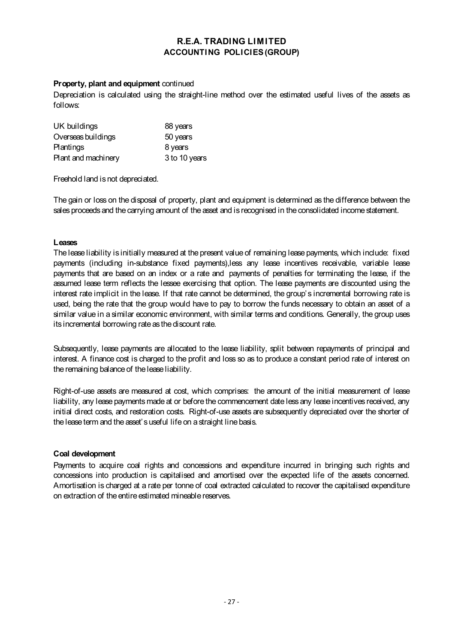## **ACCOUNTING POLICIES (GROUP) R.E.A. TRADING LIMITED**

### **Property, plant and equipment** continued

Depreciation is calculated using the straight-line method over the estimated useful lives of the assets as follows:

| UK buildings        | 88 years      |
|---------------------|---------------|
| Overseas buildings  | 50 years      |
| <b>Plantings</b>    | 8 years       |
| Plant and machinery | 3 to 10 years |

Freehold land is not depreciated.

The gain or loss on the disposal of property, plant and equipment is determined as the difference between the sales proceeds and the carrying amount of the asset and is recognised in the consolidated income statement.

### **Leases**

The lease liability is initially measured at the present value of remaining lease payments, which include: fixed payments (including in-substance fixed payments), less any lease incentives receivable, variable lease payments that are based on an index or a rate and payments of penalties for terminating the lease, if the assumed lease term reflects the lessee exercising that option. The lease payments are discounted using the interest rate implicit in the lease. If that rate cannot be determined, the group's incremental borrowing rate is used, being the rate that the group would have to pay to borrow the funds necessary to obtain an asset of a similar value in a similar economic environment, with similar terms and conditions. Generally, the group uses its incremental borrowing rate as the discount rate.

Subsequently, lease payments are allocated to the lease liability, split between repayments of principal and interest. A finance cost is charged to the profit and loss so as to produce a constant period rate of interest on the remaining balance of the lease liability.

Right-of-use assets are measured at cost, which comprises: the amount of the initial measurement of lease liability, any lease payments made at or before the commencement date less any lease incentives received, any initial direct costs, and restoration costs. Right-of-use assets are subsequently depreciated over the shorter of the lease term and the asset's useful life on a straight line basis.

#### **Coal development**

Payments to acquire coal rights and concessions and expenditure incurred in bringing such rights and concessions into production is capitalised and amortised over the expected life of the assets concerned. Amortisation is charged at a rate per tonne of coal extracted calculated to recover the capitalised expenditure on extraction of the entire estimated mineable reserves.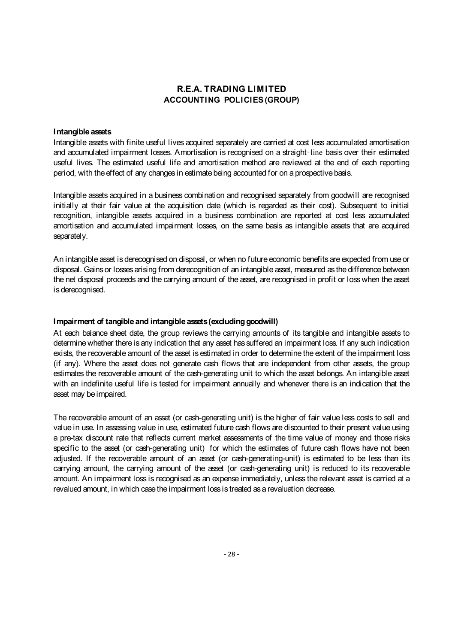#### **Intangible assets**

Intangible assets with finite useful lives acquired separately are carried at cost less accumulated amortisation and accumulated impairment losses. Amortisation is recognised on a straight-line basis over their estimated useful lives. The estimated useful life and amortisation method are reviewed at the end of each reporting period, with the effect of any changes in estimate being accounted for on a prospective basis.

Intangible assets acquired in a business combination and recognised separately from goodwill are recognised initially at their fair value at the acquisition date (which is regarded as their cost). Subsequent to initial recognition, intangible assets acquired in a business combination are reported at cost less accumulated amortisation and accumulated impairment losses, on the same basis as intangible assets that are acquired separately.

An intangible asset is derecognised on disposal, or when no future economic benefits are expected from use or disposal. Gains or losses arising from derecognition of an intangible asset, measured as the difference between the net disposal proceeds and the carrying amount of the asset, are recognised in profit or loss when the asset is derecognised.

#### **Impairment of tangible and intangible assets (excluding goodwill)**

At each balance sheet date, the group reviews the carrying amounts of its tangible and intangible assets to determinewhether thereisany indication that any asset has suffered an impairment loss. If any such indication exists, the recoverable amount of the asset is estimated in order to determine the extent of the impairment loss (if any). Where the asset does not generate cash flows that are independent from other assets, the group estimates the recoverable amount of the cash-generating unit to which the asset belongs. An intangible asset with an indefinite useful life is tested for impairment annually and whenever there is an indication that the asset may be impaired.

The recoverable amount of an asset (or cash-generating unit) is the higher of fair value less costs to sell and value in use. In assessing value in use, estimated future cash flows are discounted to their present value using a pre-tax discount rate that reflects current market assessments of the time value of money and those risks specific to the asset (or cash-generating unit) for which the estimates of future cash flows have not been adjusted. If the recoverable amount of an asset (or cash-generating-unit) is estimated to be less than its carrying amount, the carrying amount of the asset (or cash-generating unit) is reduced to its recoverable amount. An impairment loss is recognised as an expense immediately, unless the relevant asset is carried at a revalued amount, in which case the impairment loss is treated as a revaluation decrease.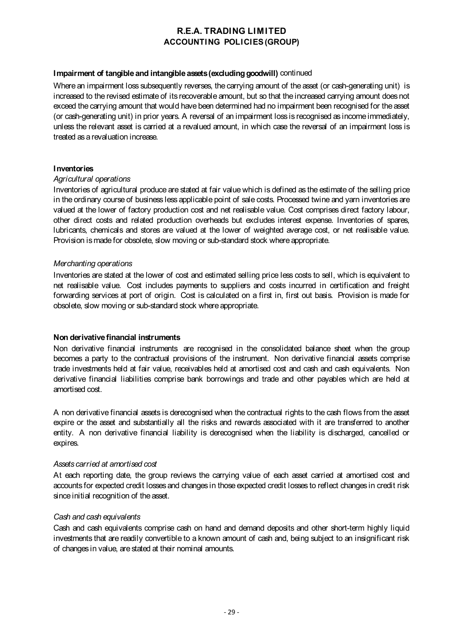### **Impairment of tangible and intangible assets (excluding goodwill)** continued

Where an impairment loss subsequently reverses, the carrying amount of the asset (or cash-generating unit) is increased to the revised estimate of its recoverable amount, but so that the increased carrying amount does not exceed the carrying amount that would have been determined had no impairment been recognised for the asset (or cash-generating unit) in prior years. A reversal of an impairment loss is recognised as incomeimmediately, unless the relevant asset is carried at a revalued amount, in which case the reversal of an impairment loss is treated as a revaluation increase.

### **Inventories**

### *Agricultural operations*

Inventories of agricultural produce are stated at fair value which is defined as the estimate of the selling price in the ordinary course of business less applicable point of sale costs. Processed twine and yarn inventories are valued at the lower of factory production cost and net realisable value. Cost comprises direct factory labour, other direct costs and related production overheads but excludes interest expense. Inventories of spares, lubricants, chemicals and stores are valued at the lower of weighted average cost, or net realisable value. Provision is made for obsolete, slow moving or sub-standard stock where appropriate.

### *Merchanting operations*

Inventories are stated at the lower of cost and estimated selling price less costs to sell, which is equivalent to net realisable value. Cost includes payments to suppliers and costs incurred in certification and freight forwarding services at port of origin. Cost is calculated on a first in, first out basis. Provision is made for obsolete, slow moving or sub-standard stock where appropriate.

#### **Non derivative financial instruments**

Non derivative financial instruments are recognised in the consolidated balance sheet when the group becomes a party to the contractual provisions of the instrument. Non derivative financial assets comprise trade investments held at fair value, receivables held at amortised cost and cash and cash equivalents. Non derivative financial liabilities comprise bank borrowings and trade and other payables which are held at amortised cost.

A non derivative financial assets is derecognised when the contractual rights to the cash flows from the asset expire or the asset and substantially all the risks and rewards associated with it are transferred to another entity. A non derivative financial liability is derecognised when the liability is discharged, cancelled or expires.

### *Assets carried at amortised cost*

At each reporting date, the group reviews the carrying value of each asset carried at amortised cost and accounts for expected credit losses and changes in those expected credit losses to reflect changes in credit risk since initial recognition of the asset.

#### *Cash and cash equivalents*

Cash and cash equivalents comprise cash on hand and demand deposits and other short-term highly liquid investments that are readily convertible to a known amount of cash and, being subject to an insignificant risk of changes in value, are stated at their nominal amounts.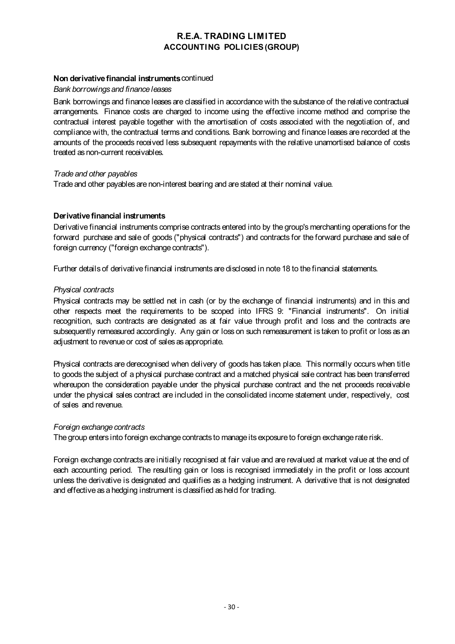### **Non derivative financial instruments** continued

### *Bank borrowings and finance leases*

Bank borrowings and finance leases are classified in accordance with the substance of the relative contractual arrangements. Finance costs are charged to income using the effective income method and comprise the contractual interest payable together with the amortisation of costs associated with the negotiation of, and compliance with, the contractual terms and conditions. Bank borrowing and finance leases are recorded at the amounts of the proceeds received less subsequent repayments with the relative unamortised balance of costs treated as non-current receivables.

#### *Trade and other payables*

Trade and other payables are non-interest bearing and are stated at their nominal value.

### **Derivative financial instruments**

Derivative financial instruments comprise contracts entered into by the group's merchanting operations for the forward purchase and sale of goods ("physical contracts") and contracts for the forward purchase and sale of foreign currency ("foreign exchange contracts").

Further details of derivative financial instruments are disclosed in note 18 to the financial statements.

### *Physical contracts*

Physical contracts may be settled net in cash (or by the exchange of financial instruments) and in this and other respects meet the requirements to be scoped into IFRS 9: "Financial instruments". On initial recognition, such contracts are designated as at fair value through profit and loss and the contracts are subsequently remeasured accordingly. Any gain or loss on such remeasurement is taken to profit or loss as an adjustment to revenue or cost of sales as appropriate.

Physical contracts are derecognised when delivery of goods has taken place. This normally occurs when title to goods the subject of a physical purchase contract and a matched physical sale contract has been transferred whereupon the consideration payable under the physical purchase contract and the net proceeds receivable under the physical sales contract are included in the consolidated income statement under, respectively, cost of sales and revenue.

#### *Foreign exchange contracts*

The group enters into foreign exchange contracts to manage its exposure to foreign exchange rate risk.

Foreign exchange contracts are initially recognised at fair value and are revalued at market value at the end of each accounting period. The resulting gain or loss is recognised immediately in the profit or loss account unless the derivative is designated and qualifies as a hedging instrument. A derivative that is not designated and effective as a hedging instrument is classified as held for trading.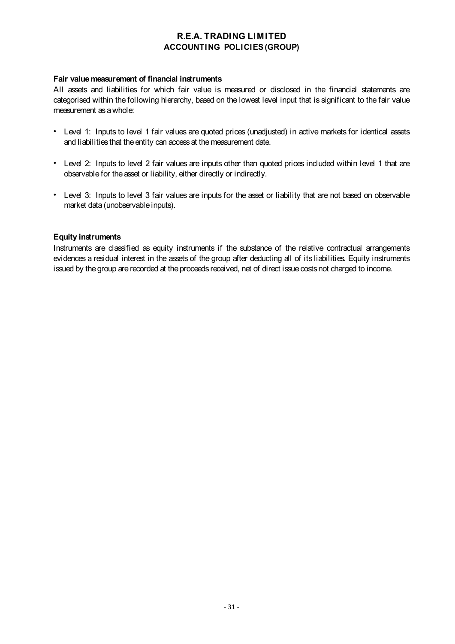## **ACCOUNTING POLICIES (GROUP) R.E.A. TRADING LIMITED**

## **Fair value measurement of financial instruments**

All assets and liabilities for which fair value is measured or disclosed in the financial statements are categorised within the following hierarchy, based on the lowest level input that is significant to the fair value measurement as a whole:

- Level 1: Inputs to level 1 fair values are quoted prices (unadjusted) in active markets for identical assets and liabilities that the entity can access at the measurement date.
- Level 2: Inputs to level 2 fair values are inputs other than quoted prices included within level 1 that are observable for the asset or liability, either directly or indirectly.
- Level 3: Inputs to level 3 fair values are inputs for the asset or liability that are not based on observable market data (unobservable inputs).

#### **Equity instruments**

Instruments are classified as equity instruments if the substance of the relative contractual arrangements evidences a residual interest in the assets of the group after deducting all of its liabilities. Equity instruments issued by the group are recorded at the proceeds received, net of direct issue costs not charged to income.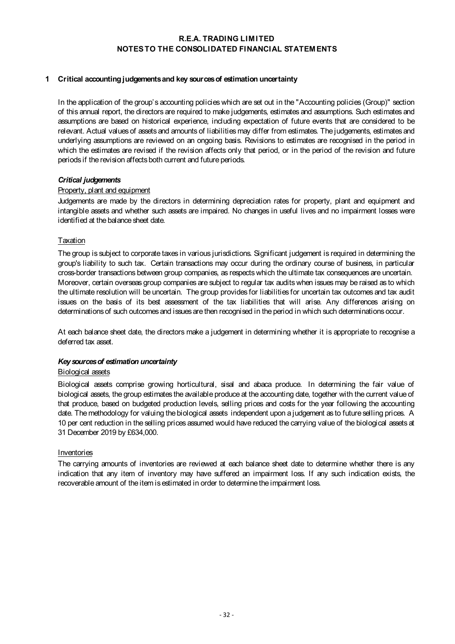#### **1 Critical accounting judgements and key sources of estimation uncertainty**

In the application of the group's accounting policies which are set out in the "Accounting policies (Group)" section of this annual report, the directors are required to make judgements, estimates and assumptions. Such estimates and assumptions are based on historical experience, including expectation of future events that are considered to be relevant. Actual values of assets and amounts of liabilities may differ from estimates. The judgements, estimates and underlying assumptions are reviewed on an ongoing basis. Revisions to estimates are recognised in the period in which the estimates are revised if the revision affects only that period, or in the period of the revision and future periods if the revision affects both current and future periods.

#### *Critical judgements*

#### Property, plant and equipment

Judgements are made by the directors in determining depreciation rates for property, plant and equipment and intangible assets and whether such assets are impaired. No changes in useful lives and no impairment losses were identified at the balance sheet date.

### Taxation

The group is subject to corporate taxes in various jurisdictions. Significant judgement is required in determining the group's liability to such tax. Certain transactions may occur during the ordinary course of business, in particular cross-border transactions between group companies, as respects which the ultimate tax consequences are uncertain. Moreover, certain overseas group companies are subject to regular tax audits when issues may be raised as to which the ultimate resolution will be uncertain. The group provides for liabilities for uncertain tax outcomes and tax audit issues on the basis of its best assessment of the tax liabilities that will arise. Any differences arising on determinations of such outcomes and issues are then recognised in the period in which such determinations occur.

At each balance sheet date, the directors make a judgement in determining whether it is appropriate to recognise a deferred tax asset.

#### *Key sources of estimation uncertainty*

#### Biological assets

Biological assets comprise growing horticultural, sisal and abaca produce. In determining the fair value of biological assets, the group estimates the available produce at the accounting date, together with the current value of that produce, based on budgeted production levels, selling prices and costs for the year following the accounting date. The methodology for valuing the biological assets independent upon a judgement as to future selling prices. A 10 per cent reduction in the selling prices assumed would have reduced the carrying value of the biological assets at 31 December 2019 by £634,000.

#### Inventories

The carrying amounts of inventories are reviewed at each balance sheet date to determine whether there is any indication that any item of inventory may have suffered an impairment loss. If any such indication exists, the recoverable amount of the item is estimated in order to determine the impairment loss.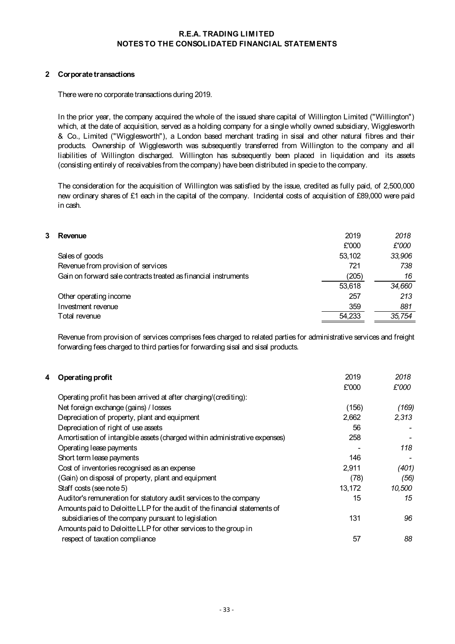#### **2 Corporate transactions**

There were no corporate transactions during 2019.

In the prior year, the company acquired the whole of the issued share capital of Willington Limited ("Willington") which, at the date of acquisition, served as a holding company for a single wholly owned subsidiary. Wigglesworth & Co., Limited ("Wigglesworth"), a London based merchant trading in sisal and other natural fibres and their products. Ownership of Wigglesworth was subsequently transferred from Willington to the company and all liabilities of Willington discharged. Willington has subsequently been placed in liquidation and its assets (consisting entirely of receivables from the company) have been distributed in specie to the company.

The consideration for the acquisition of Willington was satisfied by the issue, credited as fully paid, of 2,500,000 new ordinary shares of £1 each in the capital of the company. Incidental costs of acquisition of £89,000 were paid in cash.

| 3 | Revenue                                                         | 2019   | 2018   |
|---|-----------------------------------------------------------------|--------|--------|
|   |                                                                 | £'000  | £'000  |
|   | Sales of goods                                                  | 53,102 | 33,906 |
|   | Revenue from provision of services                              | 721    | 738    |
|   | Gain on forward sale contracts treated as financial instruments | (205)  | 16     |
|   |                                                                 | 53,618 | 34,660 |
|   | Other operating income                                          | 257    | 213    |
|   | Investment revenue                                              | 359    | 881    |
|   | Total revenue                                                   | 54,233 | 35,754 |
|   |                                                                 |        |        |

Revenue from provision of services comprises fees charged to related parties for administrative services and freight forwarding fees charged to third parties for forwarding sisal and sisal products.

| 4 | Operating profit                                                           | 2019   | 2018   |
|---|----------------------------------------------------------------------------|--------|--------|
|   |                                                                            | £'000  | £'000  |
|   | Operating profit has been arrived at after charging/(crediting):           |        |        |
|   | Net foreign exchange (gains) / losses                                      | (156)  | (169)  |
|   | Depreciation of property, plant and equipment                              | 2,662  | 2,313  |
|   | Depreciation of right of use assets                                        | 56     |        |
|   | Amortisation of intangible assets (charged within administrative expenses) | 258    |        |
|   | Operating lease payments                                                   |        | 118    |
|   | Short term lease payments                                                  | 146    |        |
|   | Cost of inventories recognised as an expense                               | 2,911  | (401)  |
|   | (Gain) on disposal of property, plant and equipment                        | (78)   | (56)   |
|   | Staff costs (see note 5)                                                   | 13,172 | 10,500 |
|   | Auditor's remuneration for statutory audit services to the company         | 15     | 15     |
|   | Amounts paid to Deloitte LLP for the audit of the financial statements of  |        |        |
|   | subsidiaries of the company pursuant to legislation                        | 131    | 96     |
|   | Amounts paid to Deloitte LLP for other services to the group in            |        |        |
|   | respect of taxation compliance                                             | 57     | 88     |
|   |                                                                            |        |        |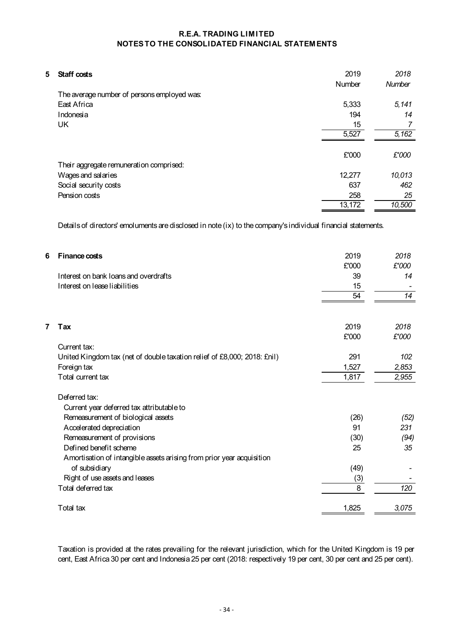| 5<br>Staff costs                            | 2019   | 2018   |
|---------------------------------------------|--------|--------|
|                                             | Number | Number |
| The average number of persons employed was: |        |        |
| East Africa                                 | 5,333  | 5,141  |
| Indonesia                                   | 194    | 14     |
| UK                                          | 15     | 7      |
|                                             | 5,527  | 5,162  |
|                                             | £'000  | £'000  |
| Their aggregate remuneration comprised:     |        |        |
| Wages and salaries                          | 12,277 | 10,013 |
| Social security costs                       | 637    | 462    |
| Pension costs                               | 258    | 25     |
|                                             | 13,172 | 10,500 |

Details of directors' emoluments are disclosed in note (ix) to the company's individual financial statements.

| 6<br>Finance costs                                                       | 2019  | 2018  |
|--------------------------------------------------------------------------|-------|-------|
|                                                                          | £'000 | £'000 |
| Interest on bank loans and overdrafts                                    | 39    | 14    |
| Interest on lease liabilities                                            | 15    |       |
|                                                                          | 54    | 14    |
|                                                                          |       |       |
| 7<br>Tax                                                                 | 2019  | 2018  |
|                                                                          | £'000 | £'000 |
| Current tax:                                                             |       |       |
| United Kingdom tax (net of double taxation relief of £8,000; 2018: £nil) | 291   | 102   |
| Foreign tax                                                              | 1,527 | 2,853 |
| Total current tax                                                        | 1,817 | 2,955 |
| Deferred tax:                                                            |       |       |
| Current year deferred tax attributable to                                |       |       |
| Remeasurement of biological assets                                       | (26)  | (52)  |
| Accelerated depreciation                                                 | 91    | 231   |
| Remeasurement of provisions                                              | (30)  | (94)  |
| Defined benefit scheme                                                   | 25    | 35    |
| Amortisation of intangible assets arising from prior year acquisition    |       |       |
| of subsidiary                                                            | (49)  |       |
| Right of use assets and leases                                           | (3)   |       |
| Total deferred tax                                                       | 8     | 120   |
| Total tax                                                                | 1,825 | 3,075 |

Taxation is provided at the rates prevailing for the relevant jurisdiction, which for the United Kingdom is 19 per cent, East Africa 30 per cent and Indonesia 25 per cent (2018: respectively 19 per cent, 30 per cent and 25 per cent).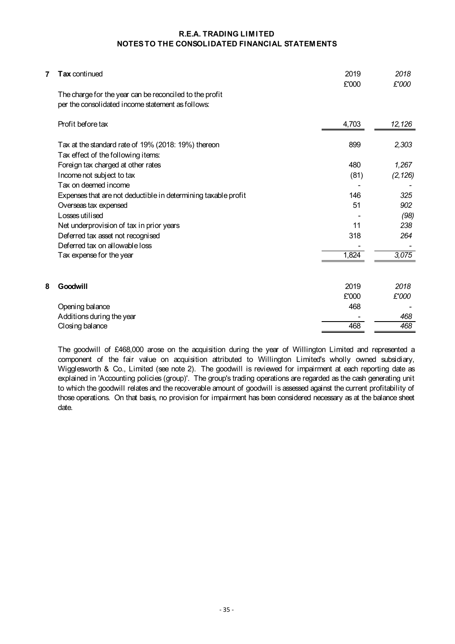## **NOTES TO THE CONSOLIDATED FINANCIAL STATEMENTS R.E.A. TRADING LIMITED**

| 7 | Tax continued                                                                                                | 2019<br>£'000 | 2018<br>£'000 |
|---|--------------------------------------------------------------------------------------------------------------|---------------|---------------|
|   | The charge for the year can be reconciled to the profit<br>per the consolidated income statement as follows: |               |               |
|   | Profit before tax                                                                                            | 4,703         | 12,126        |
|   | Tax at the standard rate of 19% (2018: 19%) thereon<br>Tax effect of the following items:                    | 899           | 2,303         |
|   | Foreign tax charged at other rates                                                                           | 480           | 1,267         |
|   | Income not subject to tax                                                                                    | (81)          | (2, 126)      |
|   | Tax on deemed income                                                                                         |               |               |
|   | Expenses that are not deductible in determining taxable profit                                               | 146           | 325           |
|   | Overseas tax expensed                                                                                        | 51            | 902           |
|   | Losses utilised                                                                                              |               | (98)          |
|   | Net underprovision of tax in prior years                                                                     | 11            | 238           |
|   | Deferred tax asset not recognised                                                                            | 318           | 264           |
|   | Deferred tax on allowable loss                                                                               |               |               |
|   | Tax expense for the year                                                                                     | 1,824         | 3,075         |
|   |                                                                                                              |               |               |
| 8 | Goodwill                                                                                                     | 2019          | 2018          |
|   |                                                                                                              | £'000         | £'000         |
|   | Opening balance                                                                                              | 468           |               |
|   | Additions during the year                                                                                    |               | 468           |
|   | Closing balance                                                                                              | 468           | 468           |
|   |                                                                                                              |               |               |

The goodwill of £468,000 arose on the acquisition during the year of Willington Limited and represented a component of the fair value on acquisition attributed to Willington Limited's wholly owned subsidiary, Wigglesworth & Co., Limited (see note 2). The goodwill is reviewed for impairment at each reporting date as explained in 'Accounting policies (group)'. The group's trading operations are regarded as the cash generating unit to which the goodwill relates and the recoverable amount of goodwill is assessed against the current profitability of those operations. On that basis, no provision for impairment has been considered necessary as at the balance sheet date.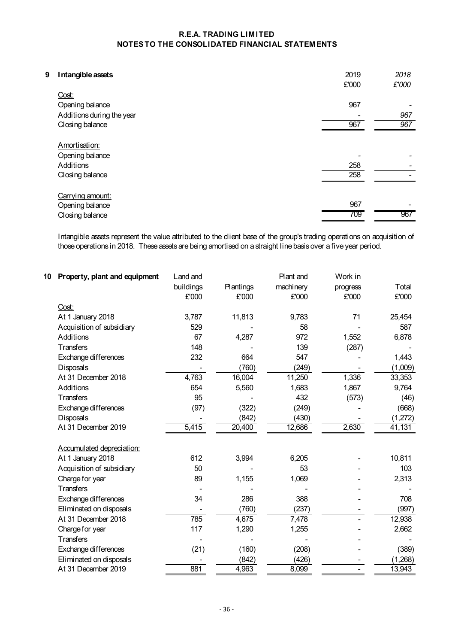| 9 | Intangible assets         | 2019  | 2018  |
|---|---------------------------|-------|-------|
|   |                           | £'000 | £'000 |
|   | Cost:                     |       |       |
|   | Opening balance           | 967   |       |
|   | Additions during the year |       | 967   |
|   | Closing balance           | 967   | 967   |
|   | Amortisation:             |       |       |
|   | Opening balance           |       |       |
|   | Additions                 | 258   |       |
|   | Closing balance           | 258   |       |
|   | Carrying amount:          |       |       |
|   | Opening balance           | 967   |       |
|   | Closing balance           | 709   | 967   |
|   |                           |       |       |

Intangible assets represent the value attributed to the client base of the group's trading operations on acquisition of those operations in 2018. These assets are being amortised on a straight line basis over a five year period.

| 10 | Property, plant and equipment | Land and  |           | Plant and | Work in  |         |
|----|-------------------------------|-----------|-----------|-----------|----------|---------|
|    |                               | buildings | Plantings | machinery | progress | Total   |
|    |                               | £'000     | £'000     | £'000     | £'000    | £'000   |
|    | Cost:                         |           |           |           |          |         |
|    | At 1 January 2018             | 3,787     | 11,813    | 9,783     | 71       | 25,454  |
|    | Acquisition of subsidiary     | 529       |           | 58        |          | 587     |
|    | Additions                     | 67        | 4,287     | 972       | 1,552    | 6,878   |
|    | Transfers                     | 148       |           | 139       | (287)    |         |
|    | Exchange differences          | 232       | 664       | 547       |          | 1,443   |
|    | Disposals                     |           | (760)     | (249)     |          | (1,009) |
|    | At 31 December 2018           | 4,763     | 16,004    | 11,250    | 1,336    | 33,353  |
|    | Additions                     | 654       | 5,560     | 1,683     | 1,867    | 9,764   |
|    | <b>Transfers</b>              | 95        |           | 432       | (573)    | (46)    |
|    | Exchange differences          | (97)      | (322)     | (249)     |          | (668)   |
|    | Disposals                     |           | (842)     | (430)     |          | (1,272) |
|    | At 31 December 2019           | 5,415     | 20,400    | 12,686    | 2,630    | 41,131  |
|    | Accumulated depreciation:     |           |           |           |          |         |
|    | At 1 January 2018             | 612       | 3,994     | 6,205     |          | 10,811  |
|    | Acquisition of subsidiary     | 50        |           | 53        |          | 103     |
|    | Charge for year               | 89        | 1,155     | 1,069     |          | 2,313   |
|    | Transfers                     |           |           |           |          |         |
|    | Exchange differences          | 34        | 286       | 388       |          | 708     |
|    | Eliminated on disposals       |           | (760)     | (237)     |          | (997)   |
|    | At 31 December 2018           | 785       | 4,675     | 7,478     |          | 12,938  |
|    | Charge for year               | 117       | 1,290     | 1,255     |          | 2,662   |
|    | <b>Transfers</b>              |           |           |           |          |         |
|    | Exchange differences          | (21)      | (160)     | (208)     |          | (389)   |
|    | Eliminated on disposals       |           | (842)     | (426)     |          | (1,268) |
|    | At 31 December 2019           | 881       | 4,963     | 8,099     |          | 13,943  |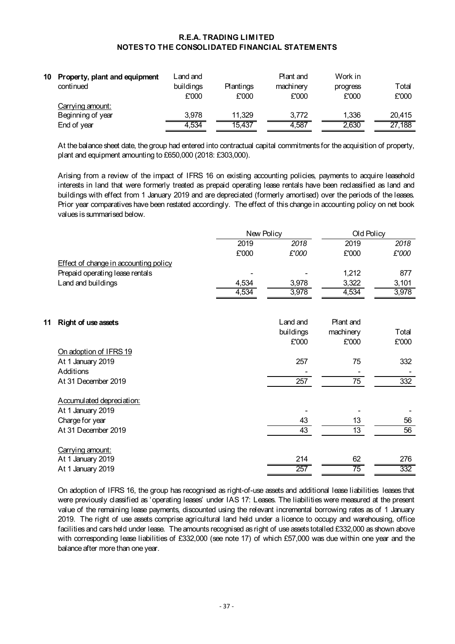| 10 | Property, plant and equipment<br>continued | Land and<br>buildings<br>£'000 | <b>Plantings</b><br>£'000 | Plant and<br>machinery<br>£'000 | Work in<br>progress<br>£'000 | Total<br>£'000 |
|----|--------------------------------------------|--------------------------------|---------------------------|---------------------------------|------------------------------|----------------|
|    | Carrying amount:<br>Beginning of year      | 3.978                          | 11.329                    | 3.772                           | 1.336                        | 20.415         |
|    | End of year                                | 4,534                          | 15,437                    | 4,587                           | 2,630                        | 27,188         |

At the balance sheet date, the group had entered into contractual capital commitments for the acquisition of property, plant and equipment amounting to £650,000 (2018: £303,000).

Arising from a review of the impact of IFRS 16 on existing accounting policies, payments to acquire leasehold interests in land that were formerly treated as prepaid operating lease rentals have been reclassified as land and buildings with effect from 1 January 2019 and are depreciated (formerly amortised) over the periods of the leases. Prior year comparatives have been restated accordingly. The effect of this change in accounting policy on net book values is summarised below.

|                                       | New Policy |       | Old Policy |       |
|---------------------------------------|------------|-------|------------|-------|
|                                       | 2019       | 2018  | 2019       | 2018  |
|                                       | £'000      | £'000 | £'000      | £'000 |
| Effect of change in accounting policy |            |       |            |       |
| Prepaid operating lease rentals       | -          |       | 1.212      | 877   |
| Land and buildings                    | 4.534      | 3.978 | 3.322      | 3,101 |
|                                       | 4.534      | 3.978 | 4.534      | 3,978 |
|                                       |            |       |            |       |

| 11 | Right of use assets                                                                      | Land and<br>buildings<br>£'000 | Plant and<br>machinery<br>£'000 | Total<br>£'000 |
|----|------------------------------------------------------------------------------------------|--------------------------------|---------------------------------|----------------|
|    | On adoption of IFRS 19                                                                   |                                |                                 |                |
|    | At 1 January 2019                                                                        | 257                            | 75                              | 332            |
|    | Additions                                                                                |                                |                                 |                |
|    | At 31 December 2019                                                                      | 257                            | 75                              | 332            |
|    | Accumulated depreciation:<br>At 1 January 2019<br>Charge for year<br>At 31 December 2019 | 43<br>43                       | 13<br>13                        | 56<br>56       |
|    | Carrying amount:<br>At 1 January 2019<br>At 1 January 2019                               | 214<br>257                     | 62<br>75                        | 276<br>332     |

On adoption of IFRS 16, the group has recognised as right-of-use assets and additional lease liabilities leases that were previously classified as 'operating leases' under IAS 17: Leases. The liabilities were measured at the present value of the remaining lease payments, discounted using the relevant incremental borrowing rates as of 1 January 2019. The right of use assets comprise agricultural land held under a licence to occupy and warehousing, office facilities and cars held under lease. The amounts recognised as right of use assets totalled £332,000 as shown above with corresponding lease liabilities of £332,000 (see note 17) of which £57,000 was due within one year and the balance after more than one year.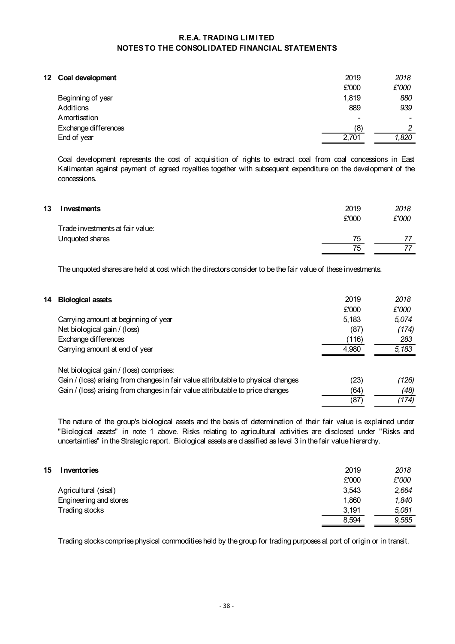### **NOTES TO THE CONSOLIDATED FINANCIAL STATEMENTS R.E.A. TRADING LIMITED**

| 12 Coal development  | 2019                     | 2018                     |
|----------------------|--------------------------|--------------------------|
|                      | £'000                    | £'000                    |
| Beginning of year    | 1,819                    | 880                      |
| Additions            | 889                      | 939                      |
| Amortisation         | $\overline{\phantom{a}}$ | $\overline{\phantom{0}}$ |
| Exchange differences | (8)                      | $\overline{2}$           |
| End of year          | 2,701                    | 1,820                    |

Coal development represents the cost of acquisition of rights to extract coal from coal concessions in East Kalimantan against payment of agreed royalties together with subsequent expenditure on the development of the concessions.

| 13 | Investments                      | 2019<br>£'000 | 2018<br>£'000 |
|----|----------------------------------|---------------|---------------|
|    | Trade investments at fair value: |               |               |
|    | Unquoted shares                  | 75            | 77            |
|    |                                  | 75            |               |
|    |                                  |               |               |

The unquoted shares are held at cost which the directors consider to be the fair value of these investments.

| 14 | <b>Biological assets</b>                                                          | 2019  | 2018  |
|----|-----------------------------------------------------------------------------------|-------|-------|
|    |                                                                                   | £'000 | £'000 |
|    | Carrying amount at beginning of year                                              | 5.183 | 5.074 |
|    | Net biological gain / (loss)                                                      | (87)  | (174) |
|    | Exchange differences                                                              | (116) | 283   |
|    | Carrying amount at end of year                                                    | 4,980 | 5,183 |
|    | Net biological gain / (loss) comprises:                                           |       |       |
|    | Gain / (loss) arising from changes in fair value attributable to physical changes | (23)  | (126) |
|    | Gain / (loss) arising from changes in fair value attributable to price changes    | (64)  | (48)  |
|    |                                                                                   | (87)  | (174) |

The nature of the group's biological assets and the basis of determination of their fair value is explained under "Biological assets" in note 1 above. Risks relating to agricultural activities are disclosed under "Risks and uncertainties" in the Strategic report. Biological assets are classified as level 3 in the fair value hierarchy.

| 2019  | 2018  |
|-------|-------|
| £'000 | £'000 |
| 3.543 | 2,664 |
| 1,860 | 1,840 |
| 3,191 | 5,081 |
| 8,594 | 9.585 |
|       |       |

Trading stocks comprise physical commodities held by the group for trading purposes at port of origin or in transit.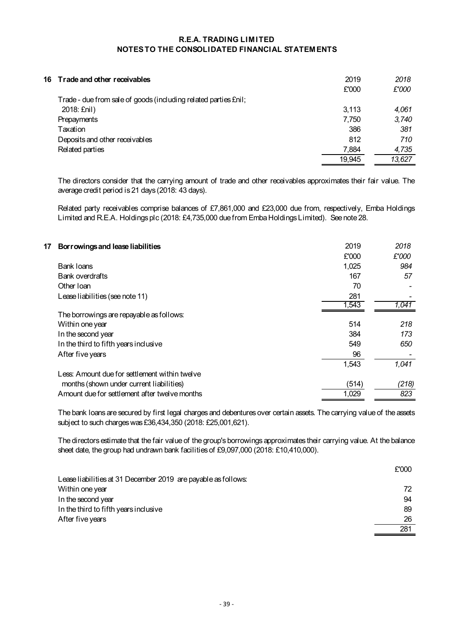| 16 Trade and other receivables                                  | 2019<br>£'000 | 2018<br>£'000 |
|-----------------------------------------------------------------|---------------|---------------|
| Trade - due from sale of goods (including related parties £nil; |               |               |
| 2018: £nil)                                                     | 3.113         | 4,061         |
| Prepayments                                                     | 7,750         | 3,740         |
| Taxation                                                        | 386           | 381           |
| Deposits and other receivables                                  | 812           | 710           |
| Related parties                                                 | 7,884         | 4,735         |
|                                                                 | 19,945        | 13,627        |

The directors consider that the carrying amount of trade and other receivables approximates their fair value. The average credit period is 21 days (2018: 43 days).

Related party receivables comprise balances of £7,861,000 and £23,000 due from, respectively, Emba Holdings Limited and R.E.A. Holdings plc (2018: £4,735,000 due from Emba Holdings Limited). See note 28.

| Borrowings and lease liabilities<br>17        | 2019  | 2018  |
|-----------------------------------------------|-------|-------|
|                                               | £'000 | £'000 |
| Bank Ioans                                    | 1,025 | 984   |
| Bank overdrafts                               | 167   | 57    |
| Other Ioan                                    | 70    |       |
| Lease liabilities (see note 11)               | 281   |       |
|                                               | 1,543 | 1,041 |
| The borrowings are repayable as follows:      |       |       |
| Within one year                               | 514   | 218   |
| In the second year                            | 384   | 173   |
| In the third to fifth years inclusive         | 549   | 650   |
| After five years                              | 96    |       |
|                                               | 1,543 | 1.041 |
| Less: Amount due for settlement within twelve |       |       |
| months (shown under current liabilities)      | (514) | (218) |
| Amount due for settlement after twelve months | 1,029 | 823   |

The bank loans are secured by first legal charges and debentures over certain assets. The carrying value of the assets subject to such charges was £36,434,350 (2018: £25,001,621).

The directors estimate that the fair value of the group's borrowings approximates their carrying value. At the balance sheet date, the group had undrawn bank facilities of £9,097,000 (2018: £10,410,000).

|                                                               | £'000 |
|---------------------------------------------------------------|-------|
| Lease liabilities at 31 December 2019 are payable as follows: |       |
| Within one year                                               |       |
| In the second year                                            | 94    |
| In the third to fifth years inclusive                         | 89    |
| After five years                                              | 26    |
|                                                               | 281   |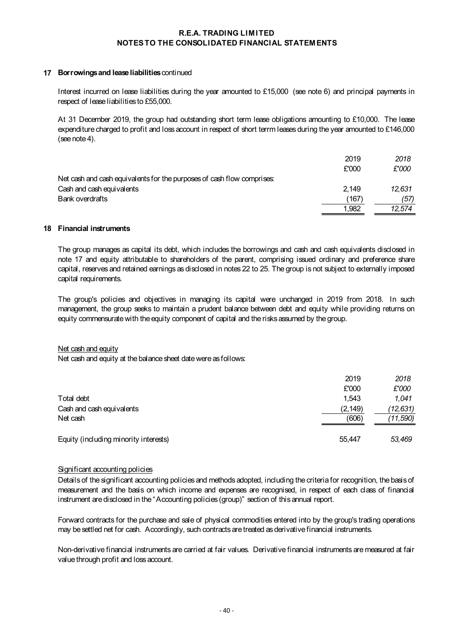### **NOTES TO THE CONSOLIDATED FINANCIAL STATEMENTS R.E.A. TRADING LIMITED**

#### **17 Borrowings and lease liabilities** continued

Interest incurred on lease liabilities during the year amounted to £15,000 (see note 6) and principal payments in respect of lease liabilities to £55,000.

At 31 December 2019, the group had outstanding short term lease obligations amounting to £10,000. The lease expenditure charged to profit and loss account in respect of short terrm leases during the year amounted to £146,000 (see note 4).

|                                                                        | 1.982 | 12.574 |
|------------------------------------------------------------------------|-------|--------|
| Bank overdrafts                                                        | (167) | (57)   |
| Cash and cash equivalents                                              | 2.149 | 12.631 |
| Net cash and cash equivalents for the purposes of cash flow comprises: |       |        |
|                                                                        | £'000 | £'000  |
|                                                                        | 2019  | 2018   |

#### **18 Financial instruments**

The group manages as capital its debt, which includes the borrowings and cash and cash equivalents disclosed in note 17 and equity attributable to shareholders of the parent, comprising issued ordinary and preference share capital, reserves and retained earnings as disclosed in notes 22 to 25. The group is not subject to externally imposed capital requirements.

The group's policies and objectives in managing its capital were unchanged in 2019 from 2018. In such management, the group seeks to maintain a prudent balance between debt and equity while providing returns on equity commensurate with the equity component of capital and the risks assumed by the group.

Net cash and equity Net cash and equity at the balance sheet date were as follows:

|                                       | 2019     | 2018     |  |
|---------------------------------------|----------|----------|--|
|                                       | £'000    | £'000    |  |
| Total debt                            | 1.543    | 1.041    |  |
| Cash and cash equivalents             | (2, 149) | (12,631) |  |
| Net cash                              | (606)    | (11,590) |  |
| Equity (including minority interests) | 55,447   | 53,469   |  |

#### Significant accounting policies

Details of the significant accounting policies and methods adopted, including the criteria for recognition, the basis of measurement and the basis on which income and expenses are recognised, in respect of each class of financial instrument are disclosed in the "Accounting policies (group)" section of this annual report.

Forward contracts for the purchase and sale of physical commodities entered into by the group's trading operations may be settled net for cash. Accordingly, such contracts are treated as derivative financial instruments.

Non-derivative financial instruments are carried at fair values. Derivative financial instruments are measured at fair value through profit and loss account.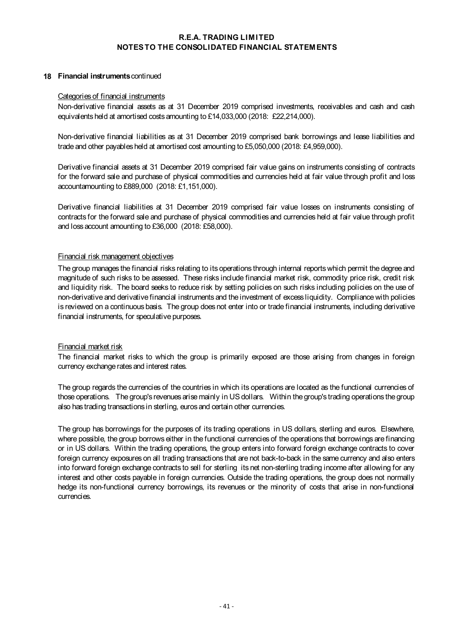#### **18 Financial instruments** continued

#### Categories of financial instruments

Non-derivative financial assets as at 31 December 2019 comprised investments, receivables and cash and cash equivalents held at amortised costs amounting to £14,033,000 (2018: £22,214,000).

Non-derivative financial liabilities as at 31 December 2019 comprised bank borrowings and lease liabilities and trade and other payables held at amortised cost amounting to £5,050,000 (2018: £4,959,000).

Derivative financial assets at 31 December 2019 comprised fair value gains on instruments consisting of contracts for the forward sale and purchase of physical commodities and currencies held at fair value through profit and loss accountamounting to £889,000 (2018: £1,151,000).

Derivative financial liabilities at 31 December 2019 comprised fair value losses on instruments consisting of contracts for the forward sale and purchase of physical commodities and currencies held at fair value through profit and loss account amounting to £36,000 (2018: £58,000).

#### Financial risk management objectives

The group manages the financial risks relating to its operations through internal reports which permit the degree and magnitude of such risks to be assessed. These risks include financial market risk, commodity price risk, credit risk and liquidity risk. The board seeks to reduce risk by setting policies on such risks including policies on the use of non-derivative and derivative financial instruments and the investment of excess liquidity. Compliance with policies is reviewed on a continuous basis. The group does not enter into or trade financial instruments, including derivative financial instruments, for speculative purposes.

#### Financial market risk

The financial market risks to which the group is primarily exposed are those arising from changes in foreign currency exchange rates and interest rates.

The group regards the currencies of the countries in which its operations are located as the functional currencies of those operations. The group's revenues arise mainly in US dollars. Within the group's trading operations the group also has trading transactions in sterling, euros and certain other currencies.

The group has borrowings for the purposes of its trading operations in US dollars, sterling and euros. Elsewhere, where possible, the group borrows either in the functional currencies of the operations that borrowings are financing or in US dollars. Within the trading operations, the group enters into forward foreign exchange contracts to cover foreign currency exposures on all trading transactions that are not back-to-back in the same currency and also enters into forward foreign exchange contracts to sell for sterling its net non-sterling trading income after allowing for any interest and other costs payable in foreign currencies. Outside the trading operations, the group does not normally hedge its non-functional currency borrowings, its revenues or the minority of costs that arise in non-functional currencies.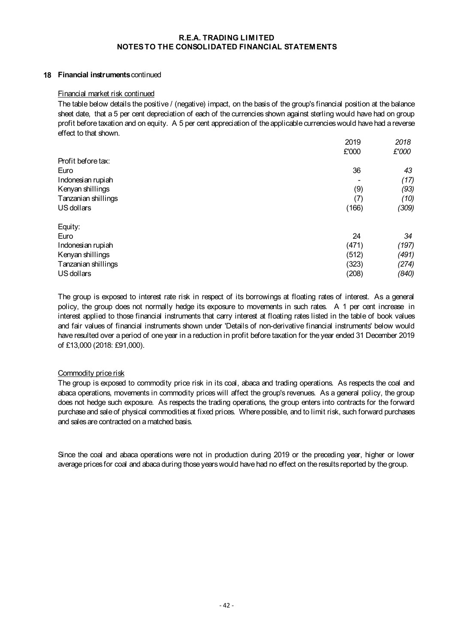#### **18 Financial instruments** continued

#### Financial market risk continued

The table below details the positive / (negative) impact, on the basis of the group's financial position at the balance sheet date, that a 5 per cent depreciation of each of the currencies shown against sterling would have had on group profit before taxation and on equity. A 5 per cent appreciation of the applicable currencies would have had a reverse effect to that shown.

|                     | 2019  | 2018  |
|---------------------|-------|-------|
|                     | £'000 | £'000 |
| Profit before tax:  |       |       |
| Euro                | 36    | 43    |
| Indonesian rupiah   |       | (17)  |
| Kenyan shillings    | (9)   | (93)  |
| Tanzanian shillings | (7)   | (10)  |
| US dollars          | (166) | (309) |
| Equity:             |       |       |
| Euro                | 24    | 34    |
| Indonesian rupiah   | (471) | (197) |
| Kenyan shillings    | (512) | (491) |
| Tanzanian shillings | (323) | (274) |
| US dollars          | (208) | (840) |
|                     |       |       |

The group is exposed to interest rate risk in respect of its borrowings at floating rates of interest. As a general policy, the group does not normally hedge its exposure to movements in such rates. A 1 per cent increase in interest applied to those financial instruments that carry interest at floating rates listed in the table of book values and fair values of financial instruments shown under 'Details of non-derivative financial instruments' below would have resulted over a period of one year in a reduction in profit before taxation for the year ended 31 December 2019 of £13,000 (2018: £91,000).

#### Commodity price risk

The group is exposed to commodity price risk in its coal, abaca and trading operations. As respects the coal and abaca operations, movements in commodity prices will affect the group's revenues. As a general policy, the group does not hedge such exposure. As respects the trading operations, the group enters into contracts for the forward purchase and sale of physical commoditiesat fixed prices. Where possible, and to limit risk, such forward purchases and sales are contracted on a matched basis.

Since the coal and abaca operations were not in production during 2019 or the preceding year, higher or lower average prices for coal and abaca during those years would have had no effect on the results reported by the group.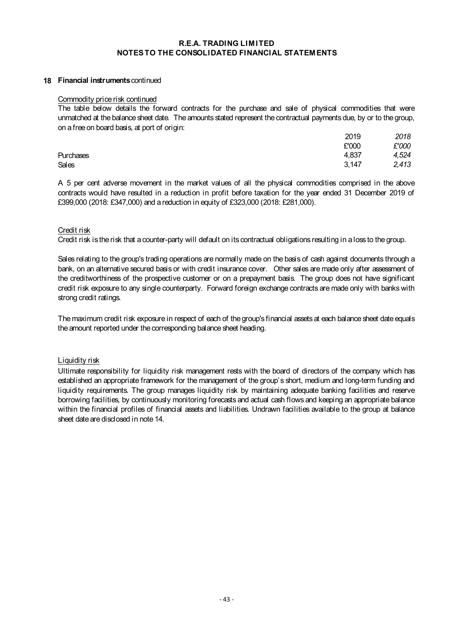### **18 Financial instruments** continued

## Commodity price risk continued

The table below details the forward contracts for the purchase and sale of physical commodities that were unmatched at the balance sheet date. The amounts stated represent the contractual payments due, by or to the group, on a free on board basis, at port of origin:

|           | 2019  | 2018  |
|-----------|-------|-------|
|           | £'000 | £'000 |
| Purchases | 4,837 | 4,524 |
| Sales     | 3,147 | 2,413 |

A 5 per cent adverse movement in the market values of all the physical commodities comprised in the above contracts would have resulted in a reduction in profit before taxation for the year ended 31 December 2019 of £399,000 (2018: £347,000) and a reduction in equity of £323,000 (2018: £281,000).

#### Credit risk

Credit risk is the risk that a counter-party will default on its contractual obligations resulting in a loss to the group.

Sales relating to the group's trading operations are normally made on the basis of cash against documents through a bank, on an alternative secured basis or with credit insurance cover. Other sales are made only after assessment of the creditworthiness of the prospective customer or on a prepayment basis. The group does not have significant credit risk exposure to any single counterparty. Forward foreign exchange contracts are made only with banks with strong credit ratings.

The maximum credit risk exposure in respect of each of the group's financial assets at each balance sheet date equals the amount reported under the corresponding balance sheet heading.

Liquidity risk

Ultimate responsibility for liquidity risk management rests with the board of directors of the company which has established an appropriate framework for the management of the group's short, medium and long-term funding and liquidity requirements. The group manages liquidity risk by maintaining adequate banking facilities and reserve borrowing facilities, by continuously monitoring forecasts and actual cash flows and keeping an appropriate balance within the financial profiles of financial assets and liabilities. Undrawn facilities available to the group at balance sheet date are disclosed in note 14.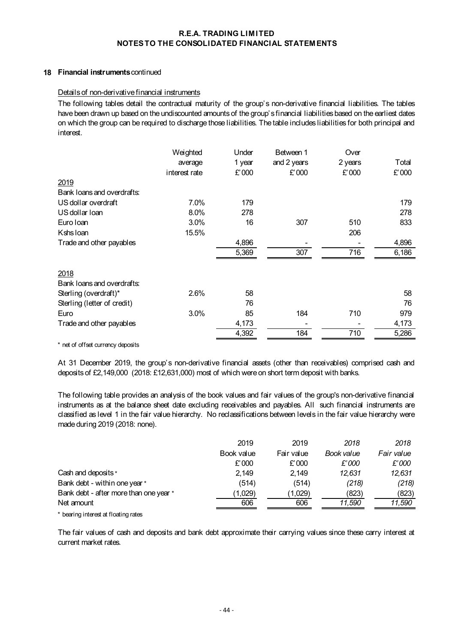## **18 Financial instruments** continued

#### Details of non-derivative financial instruments

The following tables detail the contractual maturity of the group's non-derivative financial liabilities. The tables have been drawn up based on the undiscounted amounts of the group's financial liabilities based on the earliest dates on which the group can be required to discharge those liabilities. The table includes liabilities for both principal and interest.

| 2019                        | Weighted<br>average<br>interest rate | Under<br>1 year<br>£'000 | Between 1<br>and 2 years<br>£'000 | Over<br>2 years<br>£'000 | Total<br>£'000 |
|-----------------------------|--------------------------------------|--------------------------|-----------------------------------|--------------------------|----------------|
| Bank Ioans and overdrafts:  |                                      |                          |                                   |                          |                |
| US dollar overdraft         | 7.0%                                 | 179                      |                                   |                          | 179            |
| US dollar Ioan              | 8.0%                                 | 278                      |                                   |                          | 278            |
| Euro Ioan                   | 3.0%                                 | 16                       | 307                               | 510                      | 833            |
| Kshs Ioan                   | 15.5%                                |                          |                                   | 206                      |                |
| Trade and other payables    |                                      | 4,896                    |                                   |                          | 4,896          |
|                             |                                      | 5,369                    | 307                               | 716                      | 6,186          |
| 2018                        |                                      |                          |                                   |                          |                |
| Bank Ioans and overdrafts:  |                                      |                          |                                   |                          |                |
| Sterling (overdraft)*       | 2.6%                                 | 58                       |                                   |                          | 58             |
| Sterling (letter of credit) |                                      | 76                       |                                   |                          | 76             |
| Euro                        | 3.0%                                 | 85                       | 184                               | 710                      | 979            |
| Trade and other payables    |                                      | 4,173                    |                                   |                          | 4,173          |
|                             |                                      | 4,392                    | 184                               | 710                      | 5,286          |

\* net of offset currency deposits

At 31 December 2019, the group's non-derivative financial assets (other than receivables) comprised cash and deposits of £2,149,000 (2018: £12,631,000) most of which were on short term deposit with banks.

The following table provides an analysis of the book values and fair values of the group's non-derivative financial instruments as at the balance sheet date excluding receivables and payables. All such financial instruments are classified as level 1 in the fair value hierarchy. No reclassifications between levels in the fair value hierarchy were made during 2019 (2018: none).

|                                        | 2019       | 2019       | 2018       | 2018       |
|----------------------------------------|------------|------------|------------|------------|
|                                        | Book value | Fair value | Book value | Fair value |
|                                        | £'000      | £'000      | £'000      | £'000      |
| Cash and deposits *                    | 2.149      | 2.149      | 12.631     | 12,631     |
| Bank debt - within one year *          | (514)      | (514)      | (218)      | (218)      |
| Bank debt - after more than one year * | (1,029)    | (1,029)    | (823)      | (823)      |
| Net amount                             | 606        | 606        | 11.590     | 11,590     |

\* bearing interest at floating rates

The fair values of cash and deposits and bank debt approximate their carrying values since these carry interest at current market rates.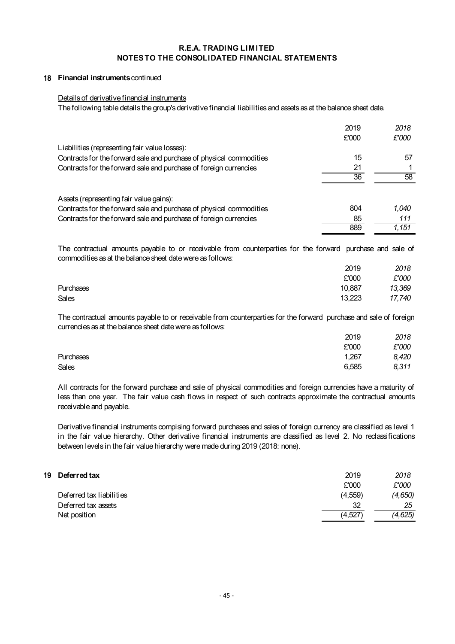#### **18 Financial instruments** continued

#### Details of derivative financial instruments

The following table details the group's derivative financial liabilities and assets as at the balance sheet date.

|                                                                                                                                                                               | 2019   | 2018   |
|-------------------------------------------------------------------------------------------------------------------------------------------------------------------------------|--------|--------|
|                                                                                                                                                                               | £'000  | £'000  |
| Liabilities (representing fair value losses):                                                                                                                                 |        |        |
| Contracts for the forward sale and purchase of physical commodities                                                                                                           | 15     | 57     |
| Contracts for the forward sale and purchase of foreign currencies                                                                                                             | 21     |        |
|                                                                                                                                                                               | 36     | 58     |
| Assets (representing fair value gains):                                                                                                                                       |        |        |
| Contracts for the forward sale and purchase of physical commodities                                                                                                           | 804    | 1,040  |
| Contracts for the forward sale and purchase of foreign currencies                                                                                                             | 85     | 111    |
|                                                                                                                                                                               | 889    | 1,151  |
| The contractual amounts payable to or receivable from counterparties for the forward purchase and sale of<br>commodities as at the balance sheet date were as follows:        |        |        |
|                                                                                                                                                                               | 2019   | 2018   |
|                                                                                                                                                                               | £'000  | £'000  |
| <b>Purchases</b>                                                                                                                                                              | 10,887 | 13,369 |
| Sales                                                                                                                                                                         | 13,223 | 17,740 |
| The contractual amounts payable to or receivable from counterparties for the forward purchase and sale of foreign<br>currencies as at the balance sheet date were as follows: |        |        |

|           | 2019  | 2018  |
|-----------|-------|-------|
|           | £'000 | £'000 |
| Purchases | 1,267 | 8,420 |
| Sales     | 6,585 | 8,311 |

All contracts for the forward purchase and sale of physical commodities and foreign currencies have a maturity of less than one year. The fair value cash flows in respect of such contracts approximate the contractual amounts receivable and payable.

Derivative financial instruments compising forward purchases and sales of foreign currency are classified as level 1 in the fair value hierarchy. Other derivative financial instruments are classified as level 2. No reclassifications between levels in the fair value hierarchy were made during 2019 (2018: none).

| 19 Deferred tax          | 2019    | 2018    |
|--------------------------|---------|---------|
|                          | £'000   | £'000   |
| Deferred tax liabilities | (4.559) | (4,650) |
| Deferred tax assets      | 32      | 25      |
| Net position             | (4,527) | (4,625) |
|                          |         |         |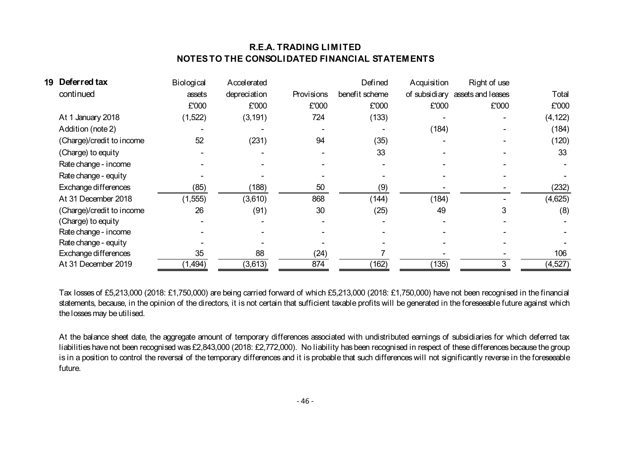| 19 Deferred tax           | Biological | Accelerated  |            | Defined        | Acquisition | Right of use                    |          |
|---------------------------|------------|--------------|------------|----------------|-------------|---------------------------------|----------|
| continued                 | assets     | depreciation | Provisions | benefit scheme |             | of subsidiary assets and leases | Total    |
|                           | £'000      | £'000        | £'000      | £'000          | £'000       | £'000                           | £'000    |
| At 1 January 2018         | (1,522)    | (3, 191)     | 724        | (133)          |             |                                 | (4, 122) |
| Addition (note 2)         |            |              |            |                | (184)       |                                 | (184)    |
| (Charge)/credit to income | 52         | (231)        | 94         | (35)           |             |                                 | (120)    |
| (Charge) to equity        |            |              |            | 33             |             |                                 | 33       |
| Rate change - income      |            |              |            |                |             |                                 |          |
| Rate change - equity      |            |              |            |                |             |                                 |          |
| Exchange differences      | (85)       | (188)        | 50         | (9)            |             |                                 | (232)    |
| At 31 December 2018       | (1, 555)   | (3,610)      | 868        | (144)          | (184)       |                                 | (4,625)  |
| (Charge)/credit to income | 26         | (91)         | 30         | (25)           | 49          | 3                               | (8)      |
| (Charge) to equity        |            |              |            |                |             |                                 |          |
| Rate change - income      |            |              |            |                |             |                                 |          |
| Rate change - equity      |            |              |            |                |             |                                 |          |
| Exchange differences      | 35         | 88           | (24)       |                |             |                                 | 106      |
| At 31 December 2019       | (1, 494)   | (3,613)      | 874        | (162)          | (135)       | 3                               | (4, 527) |

Tax losses of £5,213,000 (2018: £1,750,000) are being carried forward of which £5,213,000 (2018: £1,750,000) have not been recognised in the financial statements, because, in the opinion of the directors, it is not certain that sufficient taxable profits will be generated in the foreseeable future against which the losses may be utilised.

At the balance sheet date, the aggregate amount of temporary differences associated with undistributed earnings of subsidiaries for which deferred tax liabilities have not been recognised was £2,843,000 (2018: £2,772,000). No liability has been recognised in respect of these differences because the group is in a position to control the reversal of the temporary differences and it is probable that such differences will not significantly reverse in the foreseeable future.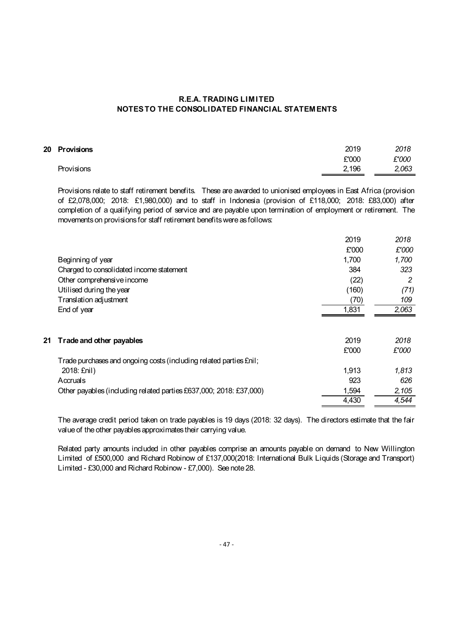| 20 Provisions | 2019  | 2018  |
|---------------|-------|-------|
|               | £'000 | £'000 |
| Provisions    | 2,196 | 2,063 |
|               |       |       |

Provisions relate to staff retirement benefits. These are awarded to unionised employees in East Africa (provision of £2,078,000; 2018: £1,980,000) and to staff in Indonesia (provision of £118,000; 2018: £83,000) after completion of a qualifying period of service and are payable upon termination of employment or retirement. The movements on provisions for staff retirement benefits were as follows:

|    |                                                                    | 2019  | 2018  |
|----|--------------------------------------------------------------------|-------|-------|
|    |                                                                    | £'000 | £'000 |
|    | Beginning of year                                                  | 1,700 | 1,700 |
|    | Charged to consolidated income statement                           | 384   | 323   |
|    | Other comprehensive income                                         | (22)  | 2     |
|    | Utilised during the year                                           | (160) | (71)  |
|    | Translation adjustment                                             | (70)  | 109   |
|    | End of year                                                        | 1,831 | 2,063 |
|    |                                                                    |       |       |
| 21 | Trade and other payables                                           | 2019  | 2018  |
|    |                                                                    | £'000 | £'000 |
|    | Trade purchases and ongoing costs (including related parties Enil; |       |       |
|    | 2018: £nil)                                                        | 1,913 | 1,813 |
|    | Accruals                                                           | 923   | 626   |
|    | Other payables (including related parties £637,000; 2018: £37,000) | 1,594 | 2,105 |
|    |                                                                    | 4,430 | 4,544 |

The average credit period taken on trade payables is 19 days (2018: 32 days). The directors estimate that the fair value of the other payables approximates their carrying value.

Related party amounts included in other payables comprise an amounts payable on demand to New Willington Limited of £500,000 and Richard Robinow of £137,000(2018: International Bulk Liquids (Storage and Transport) Limited - £30,000 and Richard Robinow - £7,000). See note 28.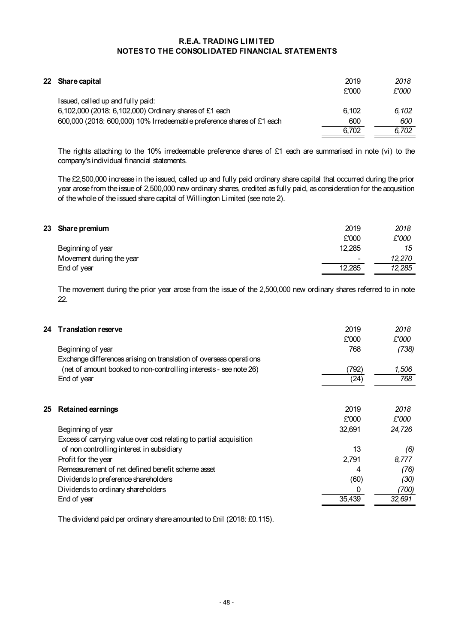| 22 Share capital                                                                            | 2019<br>£'000 | 2018<br>£'000 |
|---------------------------------------------------------------------------------------------|---------------|---------------|
| Issued, called up and fully paid:<br>6,102,000 (2018: 6,102,000) Ordinary shares of £1 each | 6.102         | 6.102         |
| 600,000 (2018: 600,000) 10% Irredeemable preference shares of £1 each                       | 600           | 600           |
|                                                                                             | 6.702         | 6.702         |

The rights attaching to the 10% irredeemable preference shares of £1 each are summarised in note (vi) to the company's individual financial statements.

The £2,500,000 increase in the issued, called up and fully paid ordinary share capital that occurred during the prior year arose from the issue of 2,500,000 new ordinary shares, credited as fully paid, as consideration for the acqusition of the whole of the issued share capital of Willington Limited (see note 2).

| 23 Share premium         | 2019                     | 2018   |
|--------------------------|--------------------------|--------|
|                          | £'000                    | £'000  |
| Beginning of year        | 12.285                   | 15     |
| Movement during the year | $\overline{\phantom{0}}$ | 12,270 |
| End of year              | 12,285                   | 12,285 |
|                          |                          |        |

The movement during the prior year arose from the issue of the 2,500,000 new ordinary shares referred to in note 22.

| 24 | <b>Translation reserve</b>                                         | 2019   | 2018   |
|----|--------------------------------------------------------------------|--------|--------|
|    |                                                                    | £'000  | £'000  |
|    | Beginning of year                                                  | 768    | (738)  |
|    | Exchange differences arising on translation of overseas operations |        |        |
|    | (net of amount booked to non-controlling interests - see note 26)  | (792)  | 1,506  |
|    | End of year                                                        | (24)   | 768    |
|    |                                                                    |        |        |
| 25 | Retained earnings                                                  | 2019   | 2018   |
|    |                                                                    | £'000  | £'000  |
|    | Beginning of year                                                  | 32,691 | 24,726 |
|    | Excess of carrying value over cost relating to partial acquisition |        |        |
|    | of non controlling interest in subsidiary                          | 13     | (6)    |
|    | Profit for the year                                                | 2,791  | 8,777  |
|    | Remeasurement of net defined benefit scheme asset                  | 4      | (76)   |
|    | Dividends to preference shareholders                               | (60)   | (30)   |
|    | Dividends to ordinary shareholders                                 | 0      | (700)  |
|    | End of year                                                        | 35,439 | 32,691 |

The dividend paid per ordinary share amounted to £nil (2018: £0.115).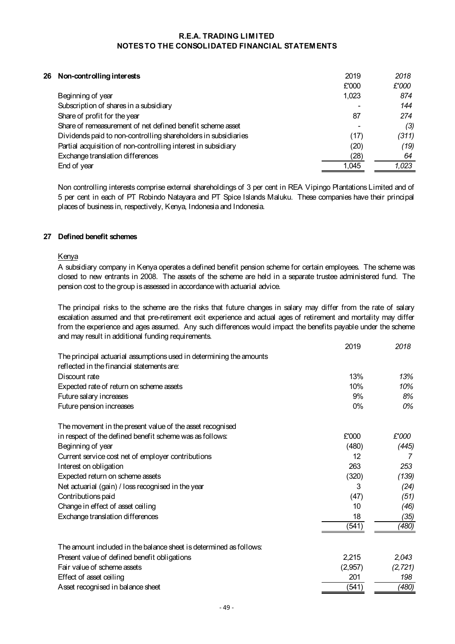### **NOTES TO THE CONSOLIDATED FINANCIAL STATEMENTS R.E.A. TRADING LIMITED**

| £'000<br>£'000<br>874<br>1,023<br>Beginning of year<br>Subscription of shares in a subsidiary<br>144<br>Share of profit for the year<br>274<br>87<br>Share of remeasurement of net defined benefit scheme asset<br>(3)<br>Dividends paid to non-controlling shareholders in subsidiaries<br>(311)<br>(17)<br>Partial acquisition of non-controlling interest in subsidiary<br>(20)<br>(19)<br>Exchange translation differences<br>(28)<br>64<br>End of year<br>1.023<br>1.045 | 26 | Non-controlling interests | 2019 | 2018 |
|-------------------------------------------------------------------------------------------------------------------------------------------------------------------------------------------------------------------------------------------------------------------------------------------------------------------------------------------------------------------------------------------------------------------------------------------------------------------------------|----|---------------------------|------|------|
|                                                                                                                                                                                                                                                                                                                                                                                                                                                                               |    |                           |      |      |
|                                                                                                                                                                                                                                                                                                                                                                                                                                                                               |    |                           |      |      |
|                                                                                                                                                                                                                                                                                                                                                                                                                                                                               |    |                           |      |      |
|                                                                                                                                                                                                                                                                                                                                                                                                                                                                               |    |                           |      |      |
|                                                                                                                                                                                                                                                                                                                                                                                                                                                                               |    |                           |      |      |
|                                                                                                                                                                                                                                                                                                                                                                                                                                                                               |    |                           |      |      |
|                                                                                                                                                                                                                                                                                                                                                                                                                                                                               |    |                           |      |      |
|                                                                                                                                                                                                                                                                                                                                                                                                                                                                               |    |                           |      |      |
|                                                                                                                                                                                                                                                                                                                                                                                                                                                                               |    |                           |      |      |

Non controlling interests comprise external shareholdings of 3 per cent in REA Vipingo Plantations Limited and of 5 per cent in each of PT Robindo Natayara and PT Spice Islands Maluku. These companies have their principal places of business in, respectively, Kenya, Indonesia and Indonesia.

#### **27 Defined benefit schemes**

#### Kenya

A subsidiary company in Kenya operates a defined benefit pension scheme for certain employees. The scheme was closed to new entrants in 2008. The assets of the scheme are held in a separate trustee administered fund. The pension cost to the group is assessed in accordance with actuarial advice.

The principal risks to the scheme are the risks that future changes in salary may differ from the rate of salary escalation assumed and that pre-retirement exit experience and actual ages of retirement and mortality may differ from the experience and ages assumed. Any such differences would impact the benefits payable under the scheme and may result in additional funding requirements.

|                                                                     | 2019    | 2018     |
|---------------------------------------------------------------------|---------|----------|
| The principal actuarial assumptions used in determining the amounts |         |          |
| reflected in the financial statements are:                          |         |          |
| Discount rate                                                       | 13%     | 13%      |
| Expected rate of return on scheme assets                            | 10%     | 10%      |
| Future salary increases                                             | 9%      | 8%       |
| Future pension increases                                            | $0\%$   | 0%       |
| The movement in the present value of the asset recognised           |         |          |
| in respect of the defined benefit scheme was as follows:            | £'000   | £'000    |
| Beginning of year                                                   | (480)   | (445)    |
| Current service cost net of employer contributions                  | 12      | 7        |
| Interest on obligation                                              | 263     | 253      |
| Expected return on scheme assets                                    | (320)   | (139)    |
| Net actuarial (gain) / loss recognised in the year                  | 3       | (24)     |
| Contributions paid                                                  | (47)    | (51)     |
| Change in effect of asset ceiling                                   | 10      | (46)     |
| Exchange translation differences                                    | 18      | (35)     |
|                                                                     | (541)   | (480)    |
| The amount included in the balance sheet is determined as follows:  |         |          |
| Present value of defined benefit obligations                        | 2,215   | 2,043    |
| Fair value of scheme assets                                         | (2,957) | (2, 721) |
| Effect of asset ceiling                                             | 201     | 198      |
| Asset recognised in balance sheet                                   | (541)   | (480)    |
|                                                                     |         |          |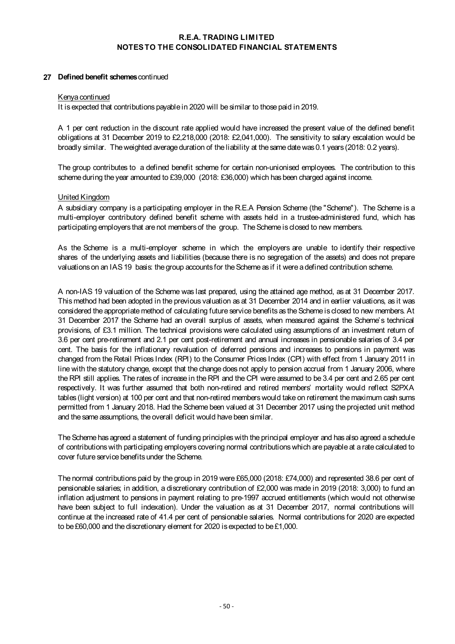#### **27 Defined benefit schemes** continued

#### Kenya continued

It is expected that contributions payable in 2020 will be similar to those paid in 2019.

A 1 per cent reduction in the discount rate applied would have increased the present value of the defined benefit obligations at 31 December 2019 to £2,218,000 (2018: £2,041,000). The sensitivity to salary escalation would be broadly similar. The weighted average duration of the liability at the same date was 0.1 years (2018: 0.2 years).

The group contributes to a defined benefit scheme for certain non-unionised employees. The contribution to this scheme during the year amounted to £39,000 (2018: £36,000) which has been charged against income.

#### United Kingdom

A subsidiary company is a participating employer in the R.E.A Pension Scheme (the "Scheme"). The Scheme is a multi-employer contributory defined benefit scheme with assets held in a trustee-administered fund, which has participating employers that are not members of the group. The Scheme is closed to new members.

As the Scheme is a multi-employer scheme in which the employers are unable to identify their respective shares of the underlying assets and liabilities (because there is no segregation of the assets) and does not prepare valuations on an IAS 19 basis: the group accounts for the Scheme as if it were a defined contribution scheme.

A non-IAS 19 valuation of the Scheme was last prepared, using the attained age method, as at 31 December 2017. This method had been adopted in the previous valuation as at 31 December 2014 and in earlier valuations, as it was considered the appropriate method of calculating future service benefits as the Scheme is closed to new members. At 31 December 2017 the Scheme had an overall surplus of assets, when measured against the Scheme's technical provisions, of £3.1 million. The technical provisions were calculated using assumptions of an investment return of 3.6 per cent pre-retirement and 2.1 per cent post-retirement and annual increases in pensionable salaries of 3.4 per cent. The basis for the inflationary revaluation of deferred pensions and increases to pensions in payment was changed from the Retail Prices Index (RPI) to the Consumer Prices Index (CPI) with effect from 1 January 2011 in line with the statutory change, except that the change does not apply to pension accrual from 1 January 2006, where the RPI still applies. The rates of increase in the RPI and the CPI were assumed to be 3.4 per cent and 2.65 per cent respectively. It was further assumed that both non-retired and retired members' mortality would reflect S2PXA tables (light version) at 100 per cent and that non-retired memberswould take on retirement the maximum cash sums permitted from 1 January 2018. Had the Scheme been valued at 31 December 2017 using the projected unit method and the same assumptions, the overall deficit would have been similar.

The Scheme has agreed a statement of funding principles with the principal employer and has also agreed a schedule of contributions with participating employers covering normal contributions which are payable at a rate calculated to cover future service benefits under the Scheme.

The normal contributions paid by the group in 2019 were £65,000 (2018: £74,000) and represented 38.6 per cent of pensionable salaries; in addition, a discretionary contribution of £2,000 was made in 2019 (2018: 3,000) to fund an inflation adjustment to pensions in payment relating to pre-1997 accrued entitlements (which would not otherwise have been subject to full indexation). Under the valuation as at 31 December 2017, normal contributions will continue at the increased rate of 41.4 per cent of pensionable salaries. Normal contributions for 2020 are expected to be £60,000 and the discretionary element for 2020 is expected to be £1,000.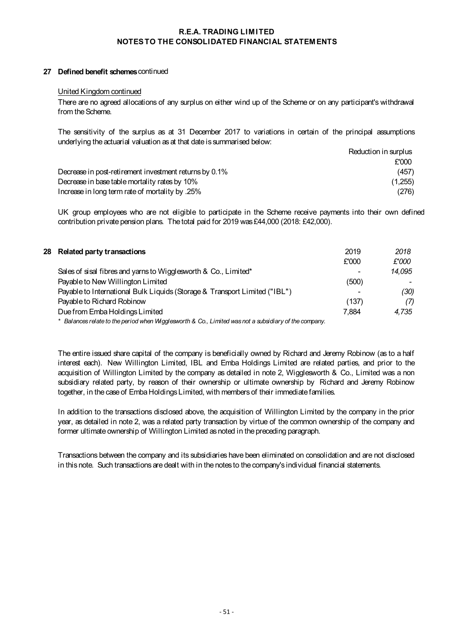#### **27 Defined benefit schemes** continued

#### United Kingdom continued

There are no agreed allocations of any surplus on either wind up of the Scheme or on any participant's withdrawal from the Scheme.

The sensitivity of the surplus as at 31 December 2017 to variations in certain of the principal assumptions underlying the actuarial valuation as at that date is summarised below:

|                                                        | Reduction in surplus |
|--------------------------------------------------------|----------------------|
|                                                        | £'000                |
| Decrease in post-retirement investment returns by 0.1% | (457)                |
| Decrease in base table mortality rates by 10%          | (1,255)              |
| lncrease in long term rate of mortality by .25%        | (276)                |

UK group employees who are not eligible to participate in the Scheme receive payments into their own defined contribution private pension plans. The total paid for 2019 was £44,000 (2018: £42,000).

| 28 Related party transactions                                                                                   | 2019  | 2018   |
|-----------------------------------------------------------------------------------------------------------------|-------|--------|
|                                                                                                                 | £'000 | £'000  |
| Sales of sisal fibres and yarns to Wigglesworth & Co., Limited*                                                 |       | 14,095 |
| Payable to New Willington Limited                                                                               | (500) |        |
| Payable to International Bulk Liquids (Storage & Transport Limited ("IBL")                                      |       | (30)   |
| Payable to Richard Robinow                                                                                      | (137) | (7)    |
| Due from Emba Holdings Limited                                                                                  | 7.884 | 4.735  |
| the contract of the contract of the contract of the contract of the contract of the contract of the contract of |       |        |

*\* Balances relate to the period when Wigglesworth & Co., Limited was not a subsidiary of the company.*

The entire issued share capital of the company is beneficially owned by Richard and Jeremy Robinow (as to a half interest each). New Willington Limited, IBL and Emba Holdings Limited are related parties, and prior to the acquisition of Willington Limited by the company as detailed in note 2, Wigglesworth & Co., Limited was a non subsidiary related party, by reason of their ownership or ultimate ownership by Richard and Jeremy Robinow together, in the case of Emba Holdings Limited, with members of their immediate families.

In addition to the transactions disclosed above, the acquisition of Willington Limited by the company in the prior year, as detailed in note 2, was a related party transaction by virtue of the common ownership of the company and former ultimate ownership of Willington Limited as noted in the preceding paragraph.

Transactions between the company and its subsidiaries have been eliminated on consolidation and are not disclosed in this note. Such transactions are dealt with in the notes to the company's individual financial statements.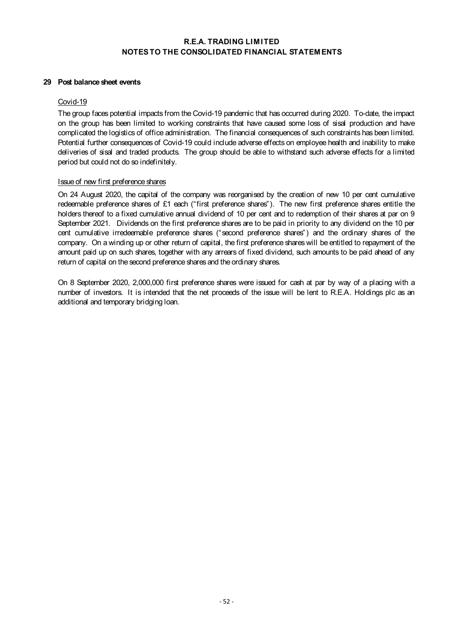#### **29 Post balance sheet events**

#### Covid-19

The group faces potential impacts from the Covid-19 pandemic that has occurred during 2020. To-date, the impact on the group has been limited to working constraints that have caused some loss of sisal production and have complicated the logistics of office administration. The financial consequences of such constraints has been limited. Potential further consequences of Covid-19 could include adverse effects on employee health and inability to make deliveries of sisal and traded products. The group should be able to withstand such adverse effects for a limited period but could not do so indefinitely.

#### Issue of new first preference shares

On 24 August 2020, the capital of the company was reorganised by the creation of new 10 per cent cumulative redeemable preference shares of £1 each ("first preference shares"). The new first preference shares entitle the holders thereof to a fixed cumulative annual dividend of 10 per cent and to redemption of their shares at par on 9 September 2021. Dividends on the first preference shares are to be paid in priority to any dividend on the 10 per cent cumulative irredeemable preference shares ("second preference shares") and the ordinary shares of the company. On a winding up or other return of capital, the first preference shares will be entitled to repayment of the amount paid up on such shares, together with any arrears of fixed dividend, such amounts to be paid ahead of any return of capital on the second preference shares and the ordinary shares.

On 8 September 2020, 2,000,000 first preference shares were issued for cash at par by way of a placing with a number of investors. It is intended that the net proceeds of the issue will be lent to R.E.A. Holdings plc as an additional and temporary bridging loan.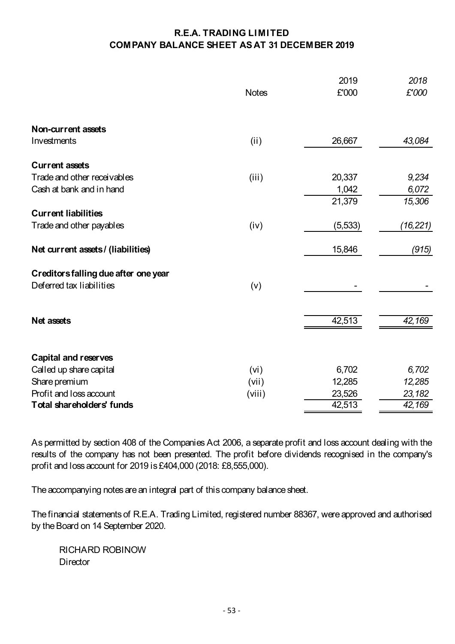# **R.E.A. TRADING LIMITED COMPANY BALANCE SHEET AS AT 31 DECEMBER 2019**

|                                      | <b>Notes</b>      | 2019<br>£'000 | 2018<br>£'000 |
|--------------------------------------|-------------------|---------------|---------------|
| Non-current assets                   |                   |               |               |
| Investments                          | (ii)              | 26,667        | 43,084        |
| <b>Current assets</b>                |                   |               |               |
| Trade and other receivables          | (iii)             | 20,337        | 9,234         |
| Cash at bank and in hand             |                   | 1,042         | 6,072         |
|                                      |                   | 21,379        | 15,306        |
| <b>Current liabilities</b>           |                   |               |               |
| Trade and other payables             | (iv)              | (5, 533)      | (16, 221)     |
| Net current assets / (liabilities)   |                   | 15,846        | (915)         |
| Creditors falling due after one year |                   |               |               |
| Deferred tax liabilities             | (V)               |               |               |
|                                      |                   |               |               |
| <b>Net assets</b>                    |                   | 42,513        | 42,169        |
| <b>Capital and reserves</b>          |                   |               |               |
| Called up share capital              | (v <sub>i</sub> ) | 6,702         | 6,702         |
| Share premium                        | (vii)             | 12,285        | 12,285        |
| Profit and loss account              | (viii)            | 23,526        | 23,182        |
| <b>Total shareholders' funds</b>     |                   | 42,513        | 42,169        |

As permitted by section 408 of the Companies Act 2006, a separate profit and loss account dealing with the results of the company has not been presented. The profit before dividends recognised in the company's profit and loss account for 2019 is £404,000 (2018: £8,555,000).

The accompanying notes are an integral part of this company balance sheet.

The financial statements of R.E.A. Trading Limited, registered number 88367, were approved and authorised by the Board on 14 September 2020.

RICHARD ROBINOW **Director**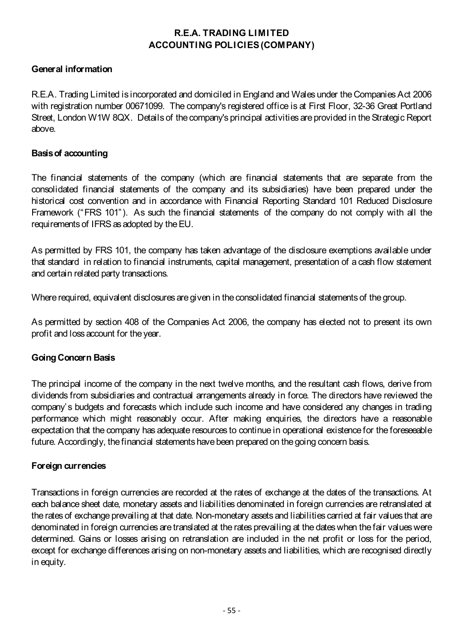## **General information**

R.E.A. Trading Limited is incorporated and domiciled in England and Wales under theCompaniesAct 2006 with registration number 00671099. The company's registered office is at First Floor, 32-36 Great Portland Street, London W1W 8QX. Details of the company's principal activities are provided in the Strategic Report above.

## **Basis of accounting**

The financial statements of the company (which are financial statements that are separate from the consolidated financial statements of the company and its subsidiaries) have been prepared under the historical cost convention and in accordance with Financial Reporting Standard 101 Reduced Disclosure Framework ("FRS 101"). As such the financial statements of the company do not comply with all the requirements of IFRS as adopted by the EU.

As permitted by FRS 101, the company has taken advantage of the disclosure exemptions available under that standard in relation to financial instruments, capital management, presentation of a cash flow statement and certain related party transactions.

Where required, equivalent disclosures are given in the consolidated financial statements of the group.

As permitted by section 408 of the Companies Act 2006, the company has elected not to present its own profit and loss account for the year.

## **Going Concern Basis**

The principal income of the company in the next twelve months, and the resultant cash flows, derive from dividends from subsidiaries and contractual arrangements already in force. The directors have reviewed the company's budgets and forecasts which include such income and have considered any changes in trading performance which might reasonably occur. After making enquiries, the directors have a reasonable expectation that the company has adequate resources to continue in operational existence for the foreseeable future. Accordingly, the financial statements have been prepared on the going concern basis.

## **Foreign currencies**

Transactions in foreign currencies are recorded at the rates of exchange at the dates of the transactions. At each balance sheet date, monetary assets and liabilities denominated in foreign currencies are retranslated at the rates of exchange prevailing at that date. Non-monetary assets and liabilities carried at fair values that are denominated in foreign currencies are translated at the rates prevailing at the dates when the fair values were determined. Gains or losses arising on retranslation are included in the net profit or loss for the period, except for exchange differences arising on non-monetary assets and liabilities, which are recognised directly in equity.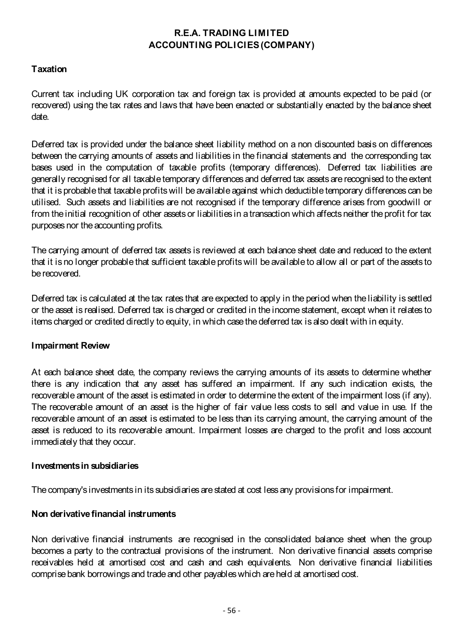# **ACCOUNTING POLICIES (COMPANY) R.E.A. TRADING LIMITED**

## **Taxation**

Current tax including UK corporation tax and foreign tax is provided at amounts expected to be paid (or recovered) using the tax rates and laws that have been enacted or substantially enacted by the balance sheet date.

Deferred tax is provided under the balance sheet liability method on a non discounted basis on differences between the carrying amounts of assets and liabilities in the financial statements and the corresponding tax bases used in the computation of taxable profits (temporary differences). Deferred tax liabilities are generally recognised for all taxable temporary differences and deferred tax assets are recognised to the extent that it is probable that taxable profits will be available against which deductible temporary differences can be utilised. Such assets and liabilities are not recognised if the temporary difference arises from goodwill or from the initial recognition of other assets or liabilities in a transaction which affects neither the profit for tax purposes nor the accounting profits.

The carrying amount of deferred tax assets is reviewed at each balance sheet date and reduced to the extent that it is no longer probable that sufficient taxable profits will be available to allow all or part of the assets to be recovered.

Deferred tax is calculated at the tax rates that are expected to apply in the period when the liability is settled or the asset is realised. Deferred tax is charged or credited in the income statement, except when it relates to items charged or credited directly to equity, in which case the deferred tax is also dealt with in equity.

## **Impairment Review**

At each balance sheet date, the company reviews the carrying amounts of its assets to determine whether there is any indication that any asset has suffered an impairment. If any such indication exists, the recoverable amount of the asset is estimated in order to determine the extent of the impairment loss (if any). The recoverable amount of an asset is the higher of fair value less costs to sell and value in use. If the recoverable amount of an asset is estimated to be less than its carrying amount, the carrying amount of the asset is reduced to its recoverable amount. Impairment losses are charged to the profit and loss account immediately that they occur.

## **Investments in subsidiaries**

The company's investments in its subsidiaries are stated at cost less any provisions for impairment.

## **Non derivative financial instruments**

Non derivative financial instruments are recognised in the consolidated balance sheet when the group becomes a party to the contractual provisions of the instrument. Non derivative financial assets comprise receivables held at amortised cost and cash and cash equivalents. Non derivative financial liabilities comprise bank borrowings and trade and other payables which are held at amortised cost.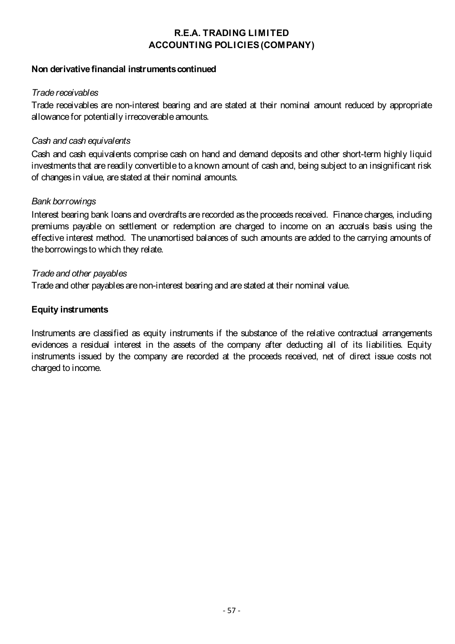## **Non derivative financial instruments continued**

## *Trade receivables*

Trade receivables are non-interest bearing and are stated at their nominal amount reduced by appropriate allowance for potentially irrecoverable amounts.

## *Cash and cash equivalents*

Cash and cash equivalents comprise cash on hand and demand deposits and other short-term highly liquid investments that are readily convertible to a known amount of cash and, being subject to an insignificant risk of changes in value, are stated at their nominal amounts.

## *Bank borrowings*

Interest bearing bank loans and overdrafts are recorded as the proceeds received. Finance charges, including premiums payable on settlement or redemption are charged to income on an accruals basis using the effective interest method. The unamortised balances of such amounts are added to the carrying amounts of the borrowings to which they relate.

## *Trade and other payables*

Trade and other payables are non-interest bearing and are stated at their nominal value.

## **Equity instruments**

Instruments are classified as equity instruments if the substance of the relative contractual arrangements evidences a residual interest in the assets of the company after deducting all of its liabilities. Equity instruments issued by the company are recorded at the proceeds received, net of direct issue costs not charged to income.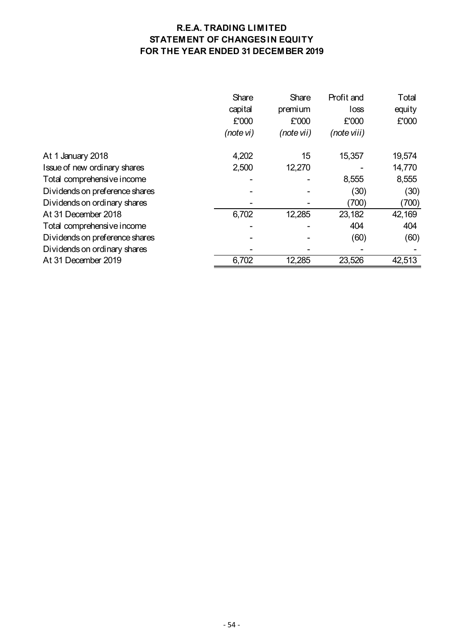# **R.E.A. TRADING LIMITED STATEMENT OF CHANGES IN EQUITY FOR THE YEAR ENDED 31 DECEMBER 2019**

|                                | Share<br>capital<br>£'000<br>(note vi) | Share<br>premium<br>£'000<br>(note vii) | Profit and<br>loss<br>£'000<br>(note viii) | Total<br>equity<br>£'000 |
|--------------------------------|----------------------------------------|-----------------------------------------|--------------------------------------------|--------------------------|
| At 1 January 2018              | 4,202                                  | 15                                      | 15,357                                     | 19,574                   |
| Issue of new ordinary shares   | 2,500                                  | 12,270                                  |                                            | 14,770                   |
| Total comprehensive income     |                                        |                                         | 8,555                                      | 8,555                    |
| Dividends on preference shares |                                        |                                         | (30)                                       | (30)                     |
| Dividends on ordinary shares   |                                        |                                         | (700)                                      | (700)                    |
| At 31 December 2018            | 6,702                                  | 12,285                                  | 23,182                                     | 42,169                   |
| Total comprehensive income     |                                        |                                         | 404                                        | 404                      |
| Dividends on preference shares |                                        |                                         | (60)                                       | (60)                     |
| Dividends on ordinary shares   |                                        |                                         |                                            |                          |
| At 31 December 2019            | 6,702                                  | 12,285                                  | 23,526                                     | 42,513                   |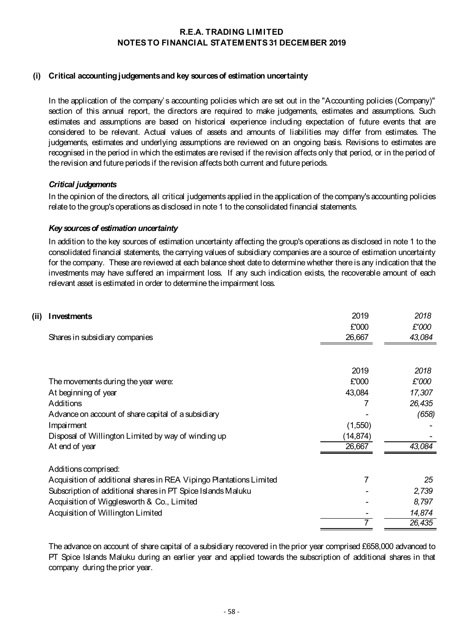## **(i) Critical accounting judgements and key sources of estimation uncertainty**

In the application of the company's accounting policies which are set out in the "Accounting policies (Company)" section of this annual report, the directors are required to make judgements, estimates and assumptions. Such estimates and assumptions are based on historical experience including expectation of future events that are considered to be relevant. Actual values of assets and amounts of liabilities may differ from estimates. The judgements, estimates and underlying assumptions are reviewed on an ongoing basis. Revisions to estimates are recognised in the period in which the estimates are revised if the revision affects only that period, or in the period of the revision and future periods if the revision affects both current and future periods.

## *Critical judgements*

In the opinion of the directors, all critical judgements applied in the application of the company's accounting policies relate to the group's operations as disclosed in note 1 to the consolidated financial statements.

### *Key sources of estimation uncertainty*

In addition to the key sources of estimation uncertainty affecting the group's operations as disclosed in note 1 to the consolidated financial statements, the carrying values of subsidiary companies are a source of estimation uncertainty for the company. These are reviewed at each balance sheet date to determine whether there is any indication that the investments may have suffered an impairment loss. If any such indication exists, the recoverable amount of each relevant asset is estimated in order to determine the impairment loss.

| (ii) | Investments                                                         | 2019     | 2018   |
|------|---------------------------------------------------------------------|----------|--------|
|      |                                                                     | £'000    | £'000  |
|      | Shares in subsidiary companies                                      | 26,667   | 43,084 |
|      |                                                                     |          |        |
|      |                                                                     | 2019     | 2018   |
|      | The movements during the year were:                                 | £'000    | £'000  |
|      | At beginning of year                                                | 43,084   | 17,307 |
|      | Additions                                                           |          | 26,435 |
|      | Advance on account of share capital of a subsidiary                 |          | (658)  |
|      | Impairment                                                          | (1,550)  |        |
|      | Disposal of Willington Limited by way of winding up                 | (14,874) |        |
|      | At end of year                                                      | 26,667   | 43,084 |
|      | Additions comprised:                                                |          |        |
|      | Acquisition of additional shares in REA Vipingo Plantations Limited | 7        | 25     |
|      | Subscription of additional shares in PT Spice Islands Maluku        |          | 2,739  |
|      | Acquisition of Wigglesworth & Co., Limited                          |          | 8,797  |
|      | Acquisition of Willington Limited                                   |          | 14,874 |
|      |                                                                     |          | 26,435 |

The advance on account of share capital of a subsidiary recovered in the prior year comprised £658,000 advanced to PT Spice Islands Maluku during an earlier year and applied towards the subscription of additional shares in that company during the prior year.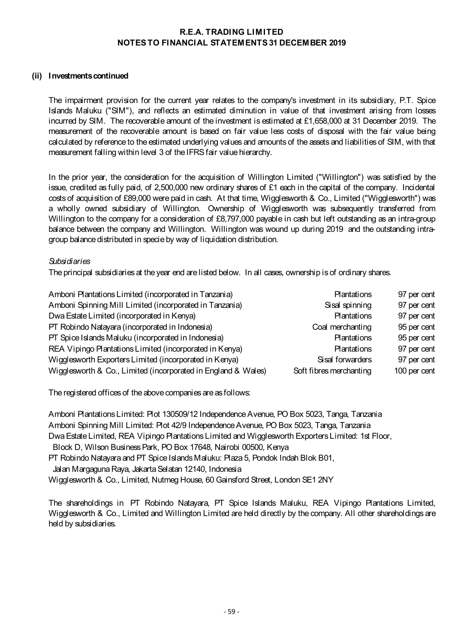### **(ii) Investments continued**

The impairment provision for the current year relates to the company's investment in its subsidiary, P.T. Spice Islands Maluku ("SIM"), and reflects an estimated diminution in value of that investment arising from losses incurred by SIM. The recoverable amount of the investment is estimated at £1,658,000 at 31 December 2019. The measurement of the recoverable amount is based on fair value less costs of disposal with the fair value being calculated by reference to the estimated underlying values and amounts of the assets and liabilities of SIM, with that measurement falling within level 3 of the IFRS fair value hierarchy.

In the prior year, the consideration for the acquisition of Willington Limited ("Willington") was satisfied by the issue, credited as fully paid, of 2,500,000 new ordinary shares of £1 each in the capital of the company. Incidental costs of acquisition of £89,000 were paid in cash. At that time, Wigglesworth & Co., Limited ("Wigglesworth") was a wholly owned subsidiary of Willington. Ownership of Wigglesworth was subsequently transferred from Willington to the company for a consideration of £8,797,000 payable in cash but left outstanding as an intra-group balance between the company and Willington. Willington was wound up during 2019 and the outstanding intragroup balance distributed in specie by way of liquidation distribution.

#### *Subsidiaries*

The principal subsidiaries at the year end are listed below. In all cases, ownership is of ordinary shares.

| Amboni Plantations Limited (incorporated in Tanzania)         | <b>Plantations</b>      | 97 per cent  |
|---------------------------------------------------------------|-------------------------|--------------|
| Amboni Spinning Mill Limited (incorporated in Tanzania)       | Sisal spinning          | 97 per cent  |
| Dwa Estate Limited (incorporated in Kenya)                    | Plantations             | 97 per cent  |
| PT Robindo Natayara (incorporated in Indonesia)               | Coal merchanting        | 95 per cent  |
| PT Spice Islands Maluku (incorporated in Indonesia)           | <b>Plantations</b>      | 95 per cent  |
| REA Vipingo Plantations Limited (incorporated in Kenya)       | <b>Plantations</b>      | 97 per cent  |
| Wigglesworth Exporters Limited (incorporated in Kenya)        | Sisal forwarders        | 97 per cent  |
| Wigglesworth & Co., Limited (incorporated in England & Wales) | Soft fibres merchanting | 100 per cent |

The registered offices of the above companies are as follows:

Amboni Plantations Limited: Plot 130509/12 Independence Avenue, PO Box 5023, Tanga, Tanzania Amboni Spinning Mill Limited: Plot 42/9 Independence Avenue, PO Box 5023, Tanga, Tanzania Dwa Estate Limited, REA Vipingo Plantations Limited and Wigglesworth Exporters Limited: 1st Floor, Block D, Wilson Business Park, PO Box 17648, Nairobi 00500, Kenya PT Robindo Natayara and PT Spice Islands Maluku: Plaza 5, Pondok Indah Blok B01, Jalan Margaguna Raya, Jakarta Selatan 12140, Indonesia

Wigglesworth & Co., Limited, Nutmeg House, 60 Gainsford Street, London SE1 2NY

The shareholdings in PT Robindo Natayara, PT Spice Islands Maluku, REA Vipingo Plantations Limited, Wigglesworth & Co., Limited and Willington Limited are held directly by the company. All other shareholdings are held by subsidiaries.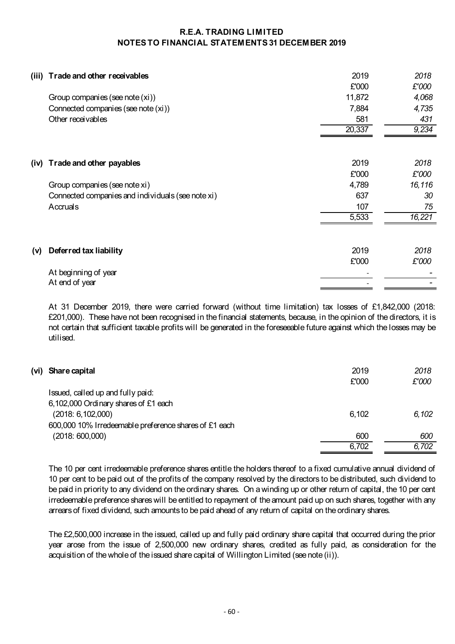|      | (iii) Trade and other receivables                 | 2019   | 2018   |
|------|---------------------------------------------------|--------|--------|
|      |                                                   | £'000  | £'000  |
|      | Group companies (see note (xi))                   | 11,872 | 4,068  |
|      | Connected companies (see note (xi))               | 7,884  | 4,735  |
|      | Other receivables                                 | 581    | 431    |
|      |                                                   | 20,337 | 9,234  |
|      |                                                   |        |        |
| (iv) | Trade and other payables                          | 2019   | 2018   |
|      |                                                   | £'000  | £'000  |
|      | Group companies (see note xi)                     | 4,789  | 16,116 |
|      | Connected companies and individuals (see note xi) | 637    | 30     |
|      | Accruals                                          | 107    | 75     |
|      |                                                   | 5,533  | 16,221 |
|      |                                                   |        |        |
| (v)  | Deferred tax liability                            | 2019   | 2018   |
|      |                                                   | £'000  | £'000  |
|      | At beginning of year                              |        |        |
|      | At end of year                                    |        |        |

At 31 December 2019, there were carried forward (without time limitation) tax losses of £1,842,000 (2018: £201,000). These have not been recognised in the financial statements, because, in the opinion of the directors, it is not certain that sufficient taxable profits will be generated in the foreseeable future against which the losses may be utilised.

| (vi) Share capital                                                       | 2019<br>£'000 | 2018<br>£'000 |
|--------------------------------------------------------------------------|---------------|---------------|
| Issued, called up and fully paid:                                        |               |               |
| 6,102,000 Ordinary shares of £1 each<br>(2018: 6, 102, 000)              | 6,102         | 6.102         |
| 600,000 10% Irredeemable preference shares of £1 each<br>(2018: 600,000) | 600           | 600           |
|                                                                          | 6,702         | 6,702         |

The 10 per cent irredeemable preference shares entitle the holders thereof to a fixed cumulative annual dividend of 10 per cent to be paid out of the profits of the company resolved by the directors to be distributed, such dividend to be paid in priority to any dividend on the ordinary shares. On awinding up or other return of capital, the 10 per cent irredeemable preference shares will be entitled to repayment of the amount paid up on such shares, together with any arrears of fixed dividend, such amounts to be paid ahead of any return of capital on the ordinary shares.

The £2,500,000 increase in the issued, called up and fully paid ordinary share capital that occurred during the prior year arose from the issue of 2,500,000 new ordinary shares, credited as fully paid, as consideration for the acquisition of the whole of the issued share capital of Willington Limited (see note (ii)).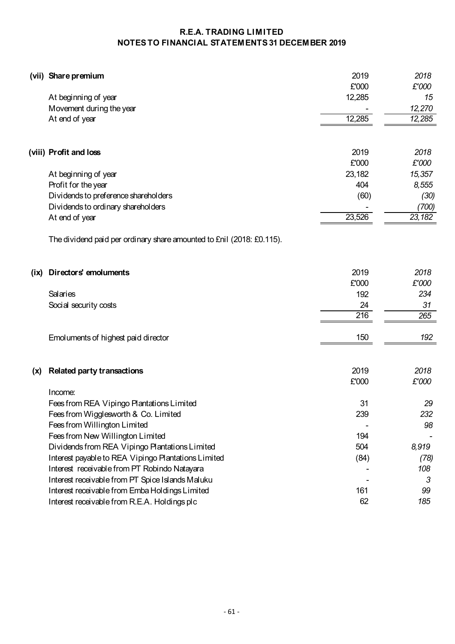|      | (vii) Share premium                                                   | 2019   | 2018   |
|------|-----------------------------------------------------------------------|--------|--------|
|      |                                                                       | £'000  | £'000  |
|      | At beginning of year                                                  | 12,285 | 15     |
|      | Movement during the year                                              |        | 12,270 |
|      | At end of year                                                        | 12,285 | 12,285 |
|      |                                                                       |        |        |
|      | (viii) Profit and loss                                                | 2019   | 2018   |
|      |                                                                       | £'000  | £'000  |
|      | At beginning of year                                                  | 23,182 | 15,357 |
|      | Profit for the year                                                   | 404    | 8,555  |
|      | Dividends to preference shareholders                                  | (60)   | (30)   |
|      | Dividends to ordinary shareholders                                    |        | (700)  |
|      | At end of year                                                        | 23,526 | 23,182 |
|      | The dividend paid per ordinary share amounted to £nil (2018: £0.115). |        |        |
| (ix) | Directors' emoluments                                                 | 2019   | 2018   |
|      |                                                                       | £'000  | £'000  |
|      | Salaries                                                              | 192    | 234    |
|      | Social security costs                                                 | 24     | 31     |
|      |                                                                       | 216    | 265    |
|      | Emoluments of highest paid director                                   | 150    | 192    |
|      |                                                                       | 2019   | 2018   |
| (x)  | <b>Related party transactions</b>                                     | £'000  | £'000  |
|      | Income:                                                               |        |        |
|      |                                                                       |        |        |
|      | Fees from REA Vipingo Plantations Limited                             | 31     | 29     |
|      | Fees from Wigglesworth & Co. Limited                                  | 239    | 232    |
|      | Fees from Willington Limited                                          |        | 98     |
|      | Fees from New Willington Limited                                      | 194    |        |
|      | Dividends from REA Vipingo Plantations Limited                        | 504    | 8,919  |
|      | Interest payable to REA Vipingo Plantations Limited                   | (84)   | (78)   |
|      | Interest receivable from PT Robindo Natayara                          |        | 108    |
|      | Interest receivable from PT Spice Islands Maluku                      |        | 3      |
|      | Interest receivable from Emba Holdings Limited                        | 161    | 99     |
|      | Interest receivable from R.E.A. Holdings plc                          | 62     | 185    |
|      |                                                                       |        |        |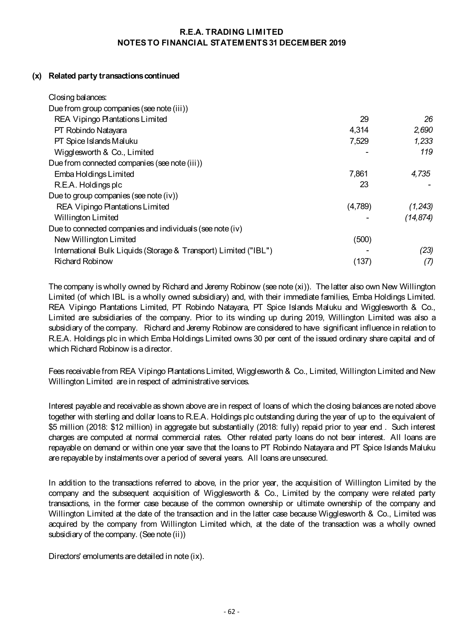## **(x) Related party transactions continued**

| Closing balances:                                                |         |           |
|------------------------------------------------------------------|---------|-----------|
| Due from group companies (see note (iii))                        |         |           |
| REA Vipingo Plantations Limited                                  | 29      | 26        |
| PT Robindo Natayara                                              | 4,314   | 2,690     |
| PT Spice Islands Maluku                                          | 7,529   | 1,233     |
| Wigglesworth & Co., Limited                                      |         | 119       |
| Due from connected companies (see note (iii))                    |         |           |
| Emba Holdings Limited                                            | 7,861   | 4,735     |
| R.E.A. Holdings plc                                              | 23      |           |
| Due to group companies (see note (iv))                           |         |           |
| REA Vipingo Plantations Limited                                  | (4,789) | (1, 243)  |
| Willington Limited                                               |         | (14, 874) |
| Due to connected companies and individuals (see note (iv)        |         |           |
| New Willington Limited                                           | (500)   |           |
| International Bulk Liquids (Storage & Transport) Limited ("IBL") |         | (23)      |
| <b>Richard Robinow</b>                                           | (137)   | (7)       |

The company is wholly owned by Richard and Jeremy Robinow (see note (xi)). The latter also own New Willington Limited (of which IBL is a wholly owned subsidiary) and, with their immediate families, Emba Holdings Limited. REA Vipingo Plantations Limited, PT Robindo Natayara, PT Spice Islands Maluku and Wigglesworth & Co., Limited are subsidiaries of the company. Prior to its winding up during 2019, Willington Limited was also a subsidiary of the company. Richard and Jeremy Robinow are considered to have significant influence in relation to R.E.A. Holdings plc in which Emba Holdings Limited owns 30 per cent of the issued ordinary share capital and of which Richard Robinow is a director

Fees receivable from REA Vipingo Plantations Limited, Wigglesworth & Co., Limited, Willington Limited and New Willington Limited are in respect of administrative services.

Interest payable and receivable as shown above are in respect of loans of which the closing balances are noted above together with sterling and dollar loans to R.E.A. Holdings plc outstanding during the year of up to the equivalent of \$5 million (2018: \$12 million) in aggregate but substantially (2018: fully) repaid prior to year end . Such interest charges are computed at normal commercial rates. Other related party loans do not bear interest. All loans are repayable on demand or within one year save that the loans to PT Robindo Natayara and PT Spice Islands Maluku are repayable by instalments over a period of several years. All loans are unsecured.

In addition to the transactions referred to above, in the prior year, the acquisition of Willington Limited by the company and the subsequent acquisition of Wigglesworth & Co., Limited by the company were related party transactions, in the former case because of the common ownership or ultimate ownership of the company and Willington Limited at the date of the transaction and in the latter case because Wigglesworth & Co., Limited was acquired by the company from Willington Limited which, at the date of the transaction was a wholly owned subsidiary of the company. (See note (ii))

Directors' emoluments are detailed in note (ix).